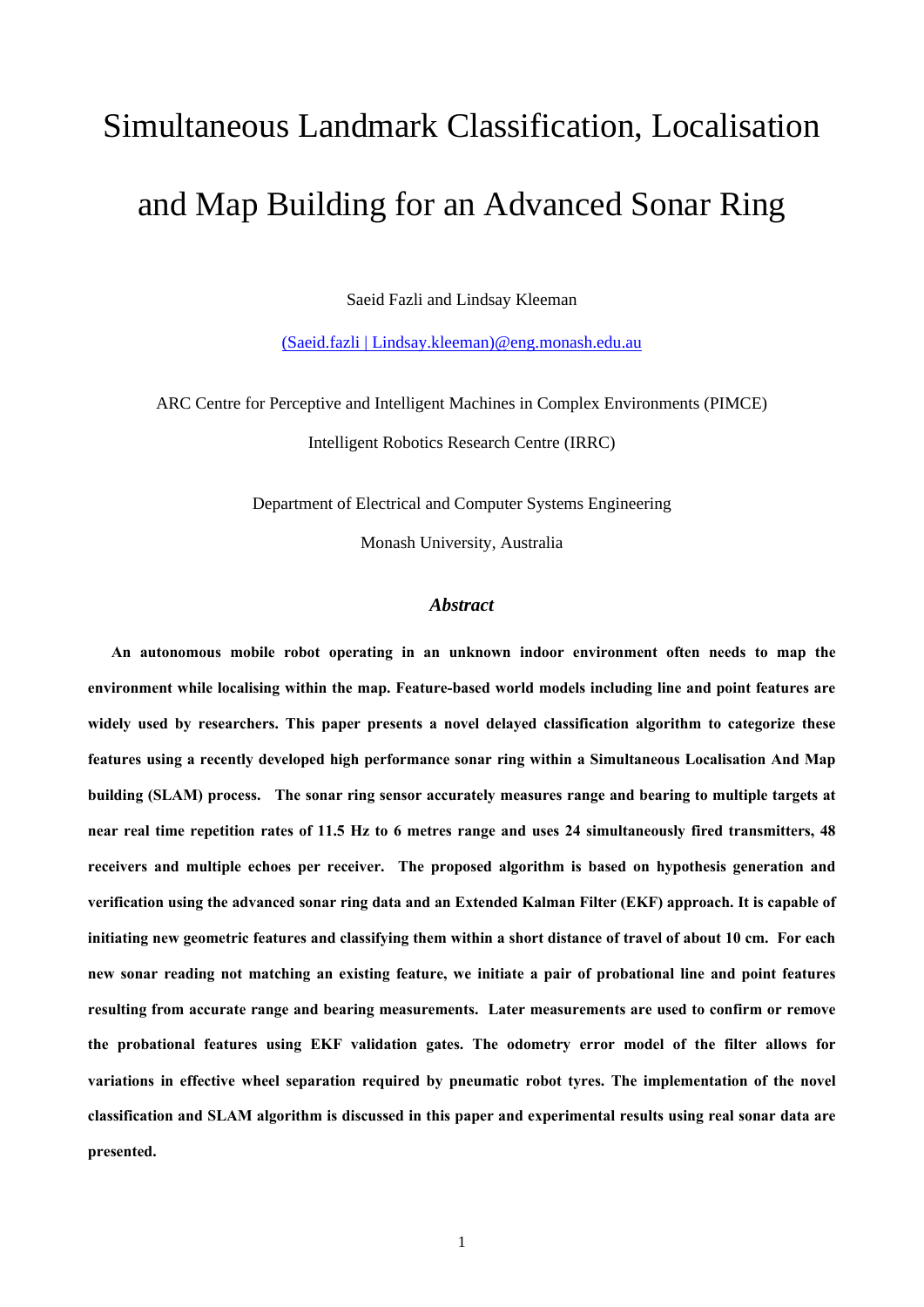# Simultaneous Landmark Classification, Localisation and Map Building for an Advanced Sonar Ring

Saeid Fazli and Lindsay Kleeman

[\(Saeid.fazli | Lindsay.kleeman\)@eng.monash.edu.au](mailto:Saeid.fazli@eng.monash.edu.au)

ARC Centre for Perceptive and Intelligent Machines in Complex Environments (PIMCE) Intelligent Robotics Research Centre (IRRC)

Department of Electrical and Computer Systems Engineering

Monash University, Australia

## *Abstract*

**An autonomous mobile robot operating in an unknown indoor environment often needs to map the environment while localising within the map. Feature-based world models including line and point features are widely used by researchers. This paper presents a novel delayed classification algorithm to categorize these features using a recently developed high performance sonar ring within a Simultaneous Localisation And Map building (SLAM) process. The sonar ring sensor accurately measures range and bearing to multiple targets at near real time repetition rates of 11.5 Hz to 6 metres range and uses 24 simultaneously fired transmitters, 48 receivers and multiple echoes per receiver. The proposed algorithm is based on hypothesis generation and verification using the advanced sonar ring data and an Extended Kalman Filter (EKF) approach. It is capable of initiating new geometric features and classifying them within a short distance of travel of about 10 cm. For each new sonar reading not matching an existing feature, we initiate a pair of probational line and point features resulting from accurate range and bearing measurements. Later measurements are used to confirm or remove the probational features using EKF validation gates. The odometry error model of the filter allows for variations in effective wheel separation required by pneumatic robot tyres. The implementation of the novel classification and SLAM algorithm is discussed in this paper and experimental results using real sonar data are presented.**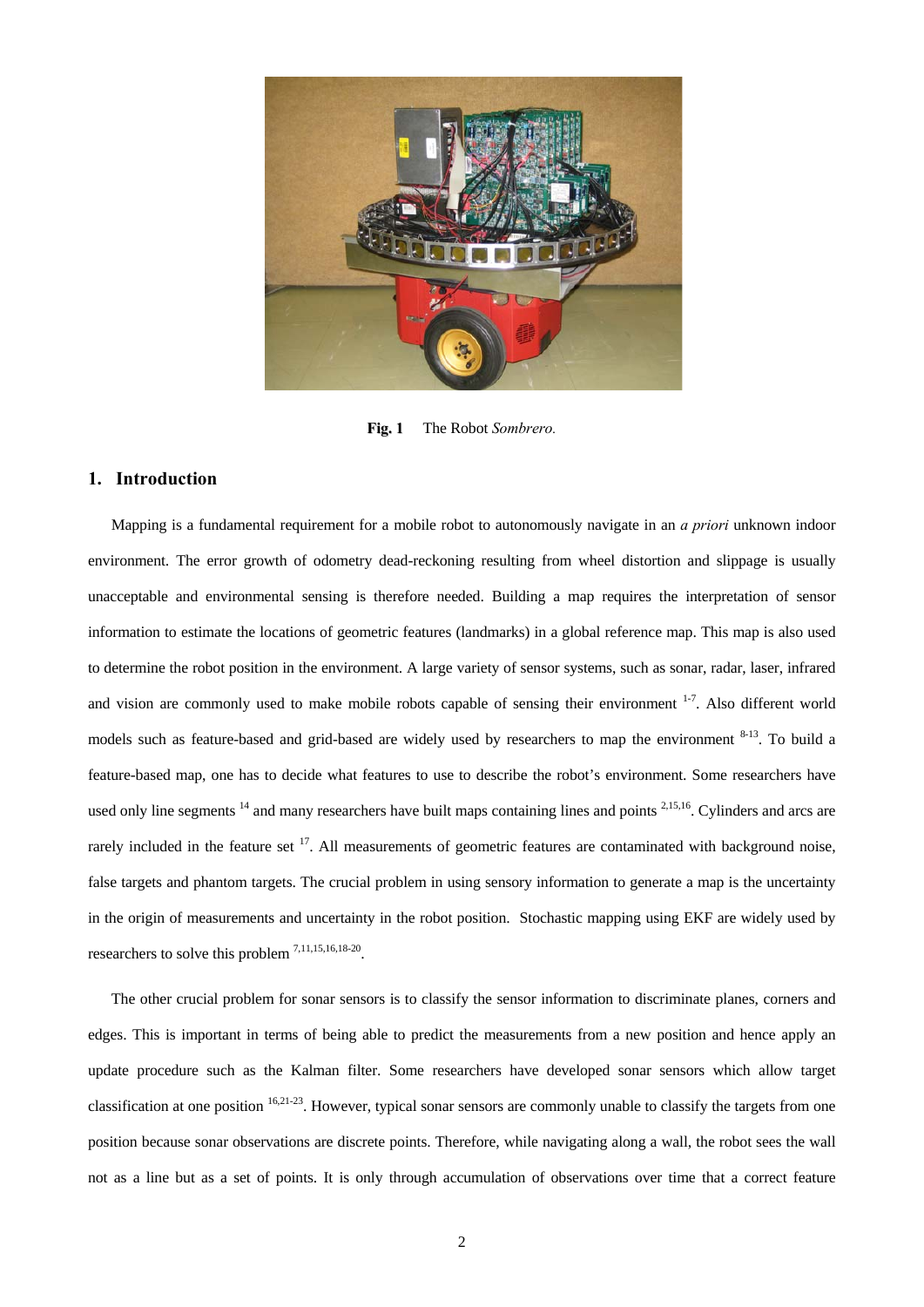

**Fig. 1** The Robot *Sombrero.*

#### **1. Introduction**

Mapping is a fundamental requirement for a mobile robot to autonomously navigate in an *a priori* unknown indoor environment. The error growth of odometry dead-reckoning resulting from wheel distortion and slippage is usually unacceptable and environmental sensing is therefore needed. Building a map requires the interpretation of sensor information to estimate the locations of geometric features (landmarks) in a global reference map. This map is also used to determine the robot position in the environment. A large variety of sensor systems, such as sonar, radar, laser, infrared and vision are commonly used to make mobile robots capable of sensing their environment <sup>1-7</sup>. Also different world models such as feature-based and grid-based are widely used by researchers to map the environment  $8-13$ . To build a feature-based map, one has to decide what features to use to describe the robot's environment. Some researchers have used only line segments <sup>14</sup> and many researchers have built maps containing lines and points <sup>2,15,16</sup>. Cylinders and arcs are rarely included in the feature set  $^{17}$ . All measurements of geometric features are contaminated with background noise, false targets and phantom targets. The crucial problem in using sensory information to generate a map is the uncertainty in the origin of measurements and uncertainty in the robot position. Stochastic mapping using EKF are widely used by researchers to solve this problem 7,11,15,16,18-20.

The other crucial problem for sonar sensors is to classify the sensor information to discriminate planes, corners and edges. This is important in terms of being able to predict the measurements from a new position and hence apply an update procedure such as the Kalman filter. Some researchers have developed sonar sensors which allow target classification at one position 16,21-23. However, typical sonar sensors are commonly unable to classify the targets from one position because sonar observations are discrete points. Therefore, while navigating along a wall, the robot sees the wall not as a line but as a set of points. It is only through accumulation of observations over time that a correct feature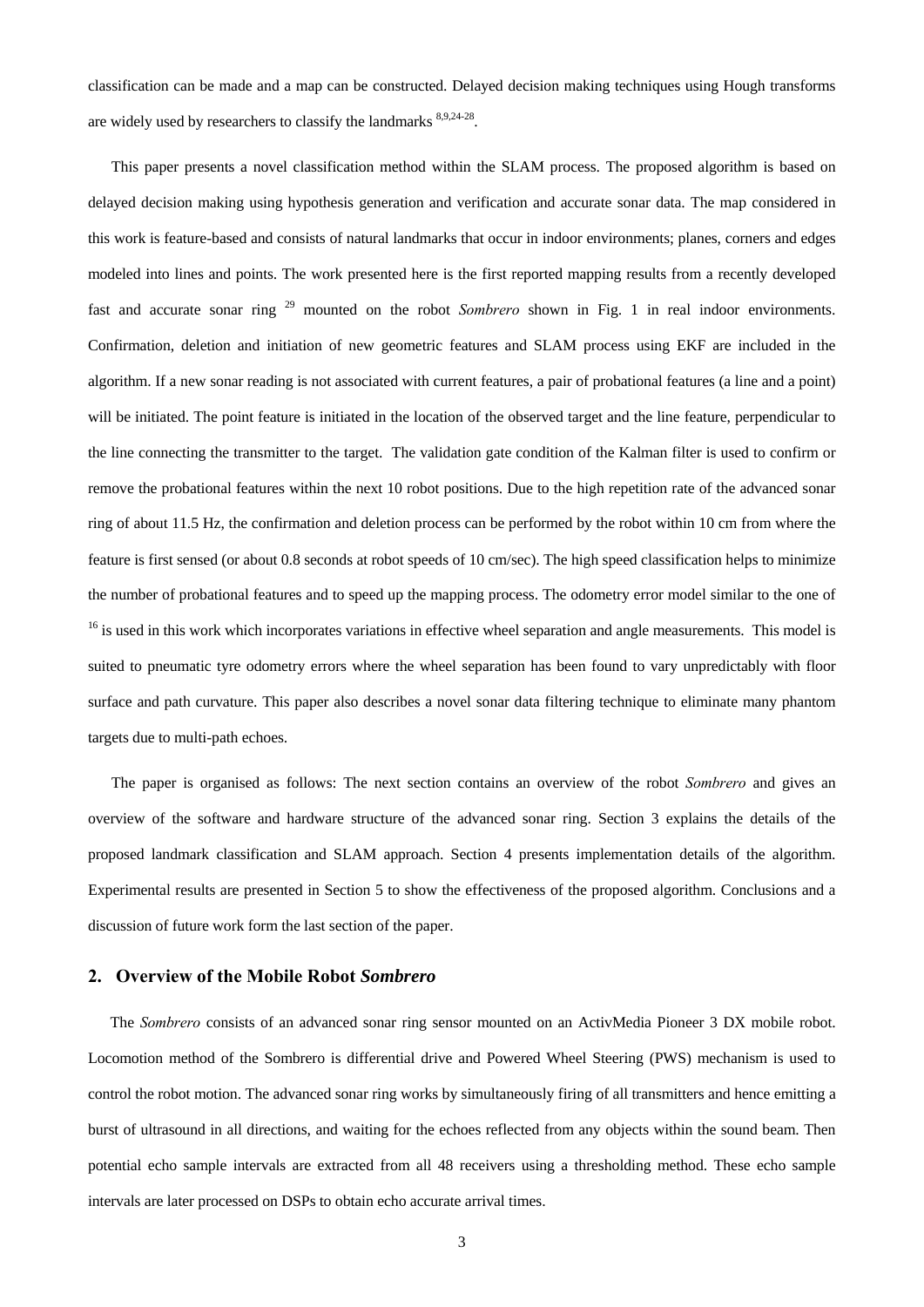classification can be made and a map can be constructed. Delayed decision making techniques using Hough transforms are widely used by researchers to classify the landmarks 8,9,24-28.

This paper presents a novel classification method within the SLAM process. The proposed algorithm is based on delayed decision making using hypothesis generation and verification and accurate sonar data. The map considered in this work is feature-based and consists of natural landmarks that occur in indoor environments; planes, corners and edges modeled into lines and points. The work presented here is the first reported mapping results from a recently developed fast and accurate sonar ring 29 mounted on the robot *Sombrero* shown in Fig. 1 in real indoor environments. Confirmation, deletion and initiation of new geometric features and SLAM process using EKF are included in the algorithm. If a new sonar reading is not associated with current features, a pair of probational features (a line and a point) will be initiated. The point feature is initiated in the location of the observed target and the line feature, perpendicular to the line connecting the transmitter to the target. The validation gate condition of the Kalman filter is used to confirm or remove the probational features within the next 10 robot positions. Due to the high repetition rate of the advanced sonar ring of about 11.5 Hz, the confirmation and deletion process can be performed by the robot within 10 cm from where the feature is first sensed (or about 0.8 seconds at robot speeds of 10 cm/sec). The high speed classification helps to minimize the number of probational features and to speed up the mapping process. The odometry error model similar to the one of <sup>16</sup> is used in this work which incorporates variations in effective wheel separation and angle measurements. This model is suited to pneumatic tyre odometry errors where the wheel separation has been found to vary unpredictably with floor surface and path curvature. This paper also describes a novel sonar data filtering technique to eliminate many phantom targets due to multi-path echoes.

The paper is organised as follows: The next section contains an overview of the robot *Sombrero* and gives an overview of the software and hardware structure of the advanced sonar ring. Section 3 explains the details of the proposed landmark classification and SLAM approach. Section 4 presents implementation details of the algorithm. Experimental results are presented in Section 5 to show the effectiveness of the proposed algorithm. Conclusions and a discussion of future work form the last section of the paper.

## **2. Overview of the Mobile Robot** *Sombrero*

The *Sombrero* consists of an advanced sonar ring sensor mounted on an ActivMedia Pioneer 3 DX mobile robot. Locomotion method of the Sombrero is differential drive and Powered Wheel Steering (PWS) mechanism is used to control the robot motion. The advanced sonar ring works by simultaneously firing of all transmitters and hence emitting a burst of ultrasound in all directions, and waiting for the echoes reflected from any objects within the sound beam. Then potential echo sample intervals are extracted from all 48 receivers using a thresholding method. These echo sample intervals are later processed on DSPs to obtain echo accurate arrival times.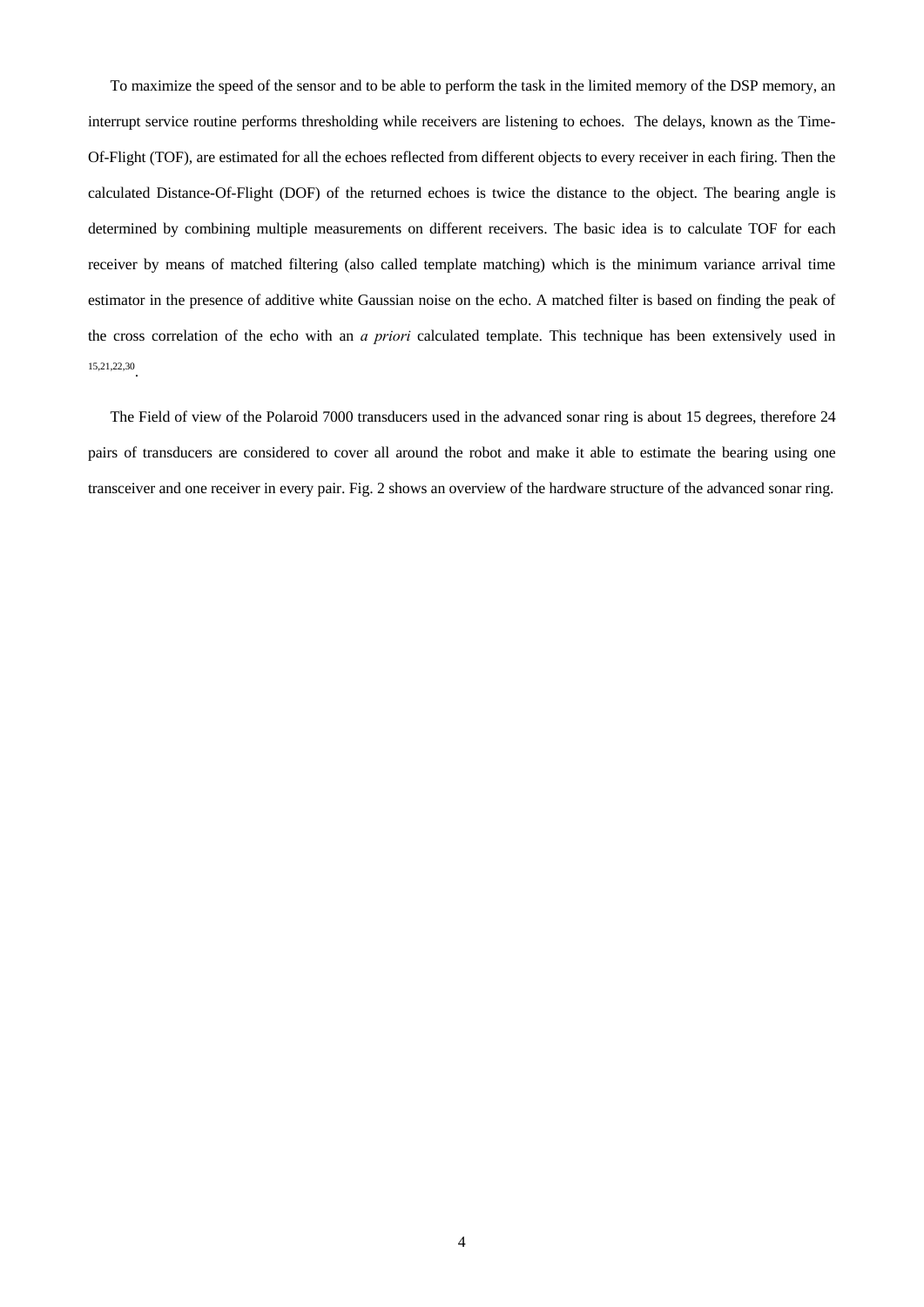To maximize the speed of the sensor and to be able to perform the task in the limited memory of the DSP memory, an interrupt service routine performs thresholding while receivers are listening to echoes. The delays, known as the Time-Of-Flight (TOF), are estimated for all the echoes reflected from different objects to every receiver in each firing. Then the calculated Distance-Of-Flight (DOF) of the returned echoes is twice the distance to the object. The bearing angle is determined by combining multiple measurements on different receivers. The basic idea is to calculate TOF for each receiver by means of matched filtering (also called template matching) which is the minimum variance arrival time estimator in the presence of additive white Gaussian noise on the echo. A matched filter is based on finding the peak of the cross correlation of the echo with an *a priori* calculated template. This technique has been extensively used in 15,21,22,30.

The Field of view of the Polaroid 7000 transducers used in the advanced sonar ring is about 15 degrees, therefore 24 pairs of transducers are considered to cover all around the robot and make it able to estimate the bearing using one transceiver and one receiver in every pair. Fig. 2 shows an overview of the hardware structure of the advanced sonar ring.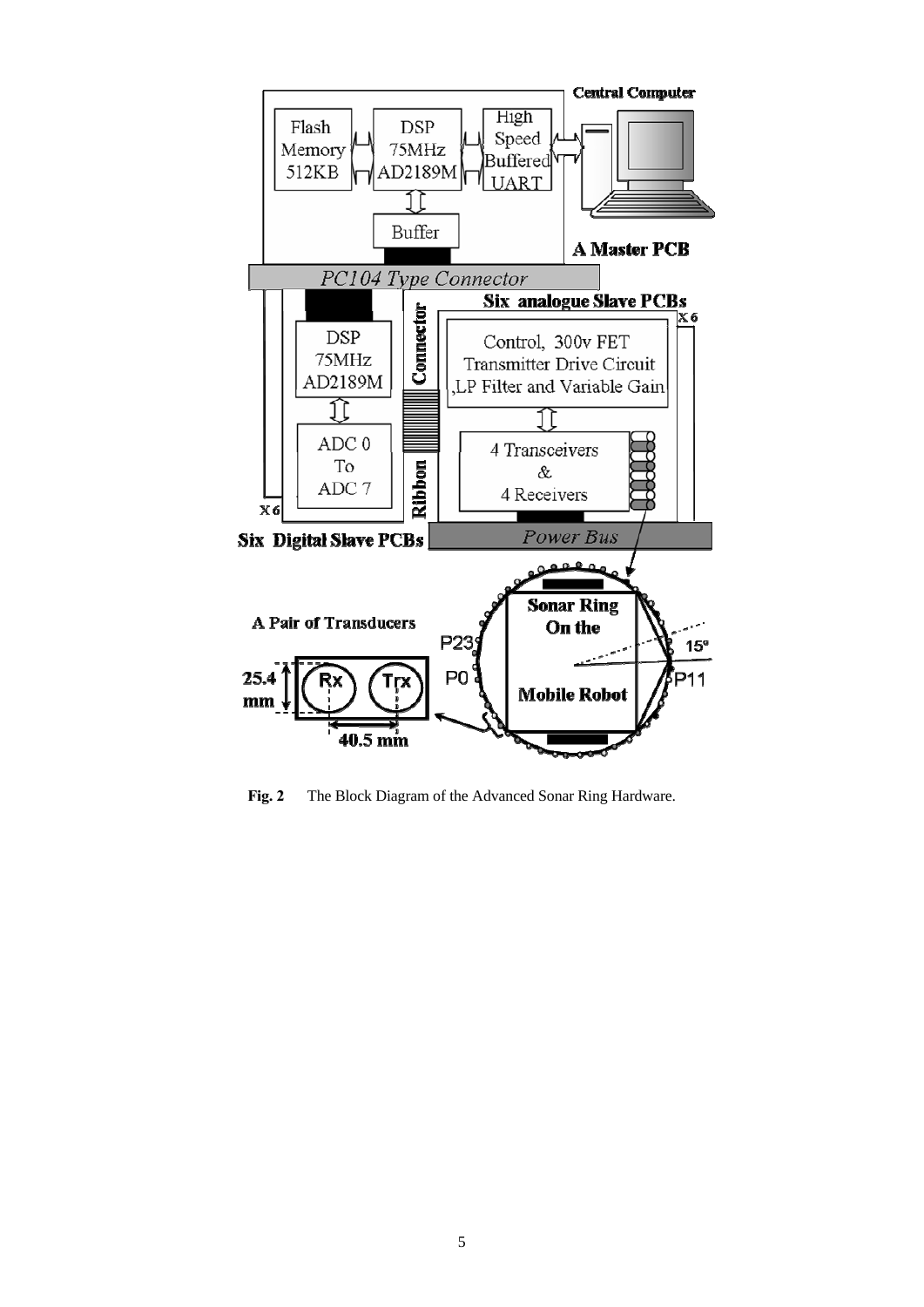

**Fig. 2** The Block Diagram of the Advanced Sonar Ring Hardware.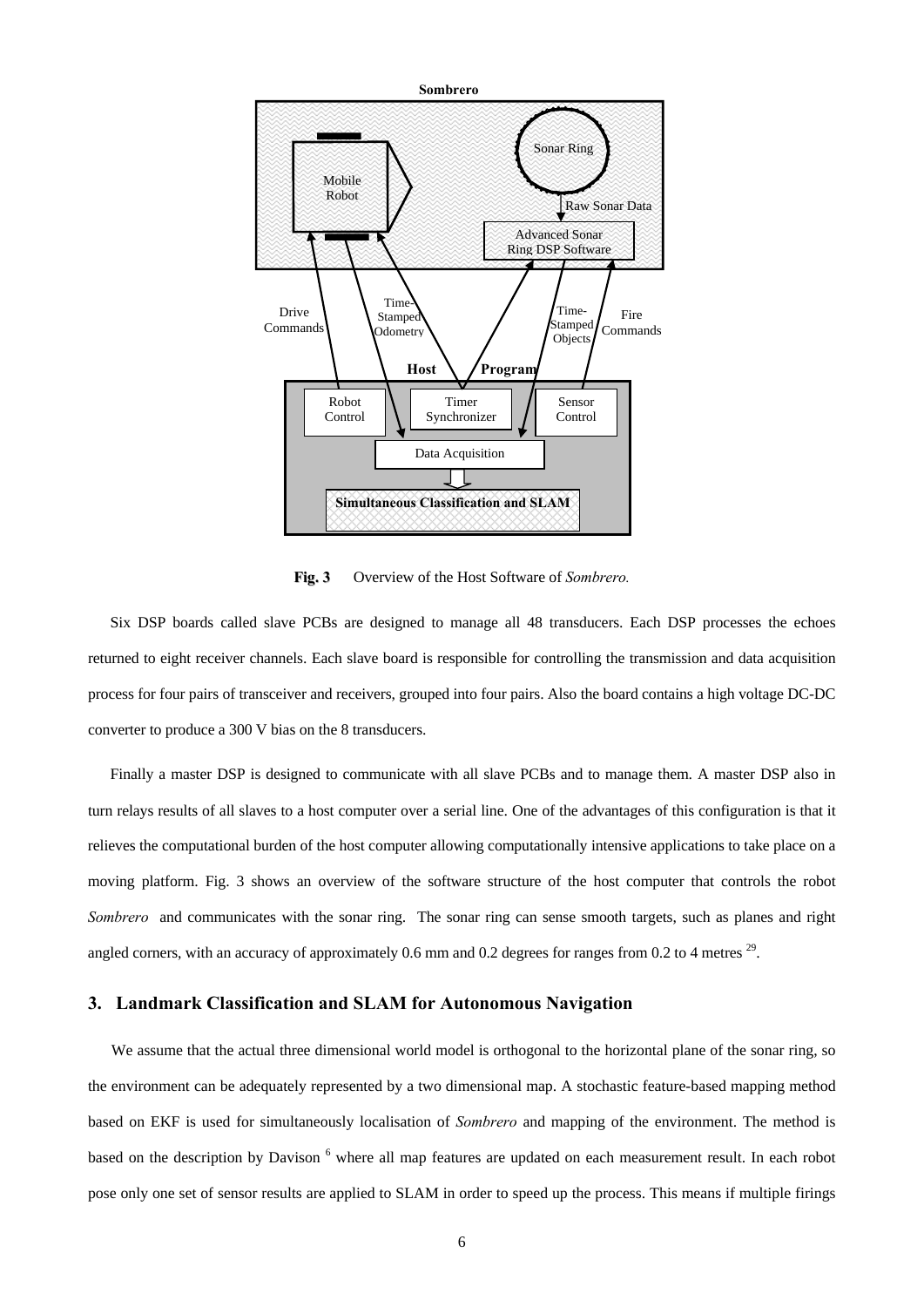

**Fig. 3** Overview of the Host Software of *Sombrero.*

Six DSP boards called slave PCBs are designed to manage all 48 transducers. Each DSP processes the echoes returned to eight receiver channels. Each slave board is responsible for controlling the transmission and data acquisition process for four pairs of transceiver and receivers, grouped into four pairs. Also the board contains a high voltage DC-DC converter to produce a 300 V bias on the 8 transducers.

Finally a master DSP is designed to communicate with all slave PCBs and to manage them. A master DSP also in turn relays results of all slaves to a host computer over a serial line. One of the advantages of this configuration is that it relieves the computational burden of the host computer allowing computationally intensive applications to take place on a moving platform. Fig. 3 shows an overview of the software structure of the host computer that controls the robot *Sombrero* and communicates with the sonar ring. The sonar ring can sense smooth targets, such as planes and right angled corners, with an accuracy of approximately 0.6 mm and 0.2 degrees for ranges from 0.2 to 4 metres  $^{29}$ .

## **3. Landmark Classification and SLAM for Autonomous Navigation**

We assume that the actual three dimensional world model is orthogonal to the horizontal plane of the sonar ring, so the environment can be adequately represented by a two dimensional map. A stochastic feature-based mapping method based on EKF is used for simultaneously localisation of *Sombrero* and mapping of the environment. The method is based on the description by Davison <sup>6</sup> where all map features are updated on each measurement result. In each robot pose only one set of sensor results are applied to SLAM in order to speed up the process. This means if multiple firings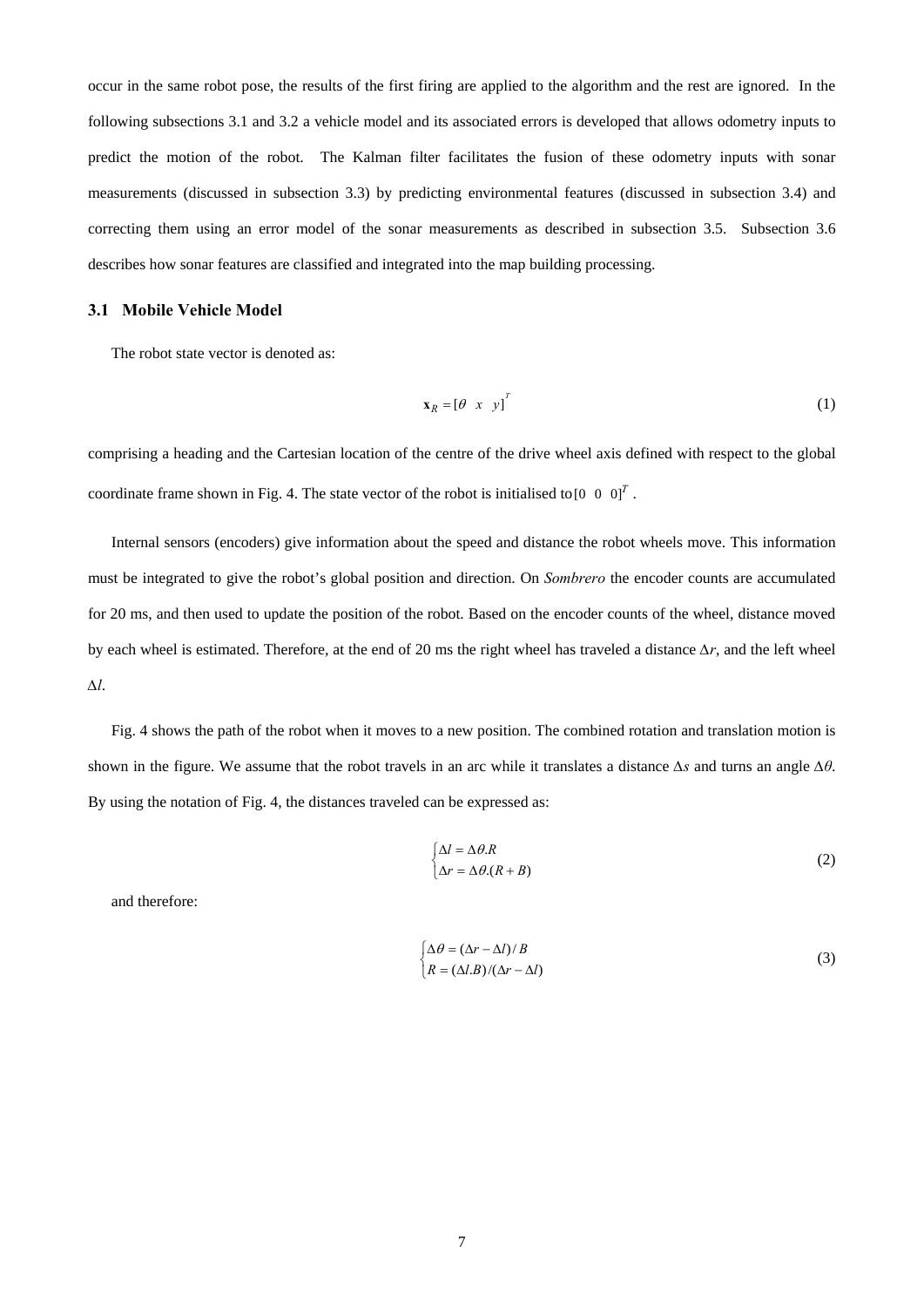occur in the same robot pose, the results of the first firing are applied to the algorithm and the rest are ignored. In the following subsections 3.1 and 3.2 a vehicle model and its associated errors is developed that allows odometry inputs to predict the motion of the robot. The Kalman filter facilitates the fusion of these odometry inputs with sonar measurements (discussed in subsection 3.3) by predicting environmental features (discussed in subsection 3.4) and correcting them using an error model of the sonar measurements as described in subsection 3.5. Subsection 3.6 describes how sonar features are classified and integrated into the map building processing.

#### **3.1 Mobile Vehicle Model**

The robot state vector is denoted as:

$$
\mathbf{x}_R = \begin{bmatrix} \theta & x & y \end{bmatrix}^T \tag{1}
$$

comprising a heading and the Cartesian location of the centre of the drive wheel axis defined with respect to the global coordinate frame shown in Fig. 4. The state vector of the robot is initialised to  $\begin{bmatrix} 0 & 0 & 0 \end{bmatrix}^T$ .

Internal sensors (encoders) give information about the speed and distance the robot wheels move. This information must be integrated to give the robot's global position and direction. On *Sombrero* the encoder counts are accumulated for 20 ms, and then used to update the position of the robot. Based on the encoder counts of the wheel, distance moved by each wheel is estimated. Therefore, at the end of 20 ms the right wheel has traveled a distance *∆r*, and the left wheel *∆l*.

Fig. 4 shows the path of the robot when it moves to a new position. The combined rotation and translation motion is shown in the figure. We assume that the robot travels in an arc while it translates a distance *∆s* and turns an angle *∆θ*. By using the notation of Fig. 4, the distances traveled can be expressed as:

$$
\begin{cases} \Delta l = \Delta \theta.R \\ \Delta r = \Delta \theta.(R + B) \end{cases}
$$
 (2)

and therefore:

$$
\begin{cases} \Delta \theta = (\Delta r - \Delta l)/B \\ R = (\Delta l.B)/(\Delta r - \Delta l) \end{cases}
$$
 (3)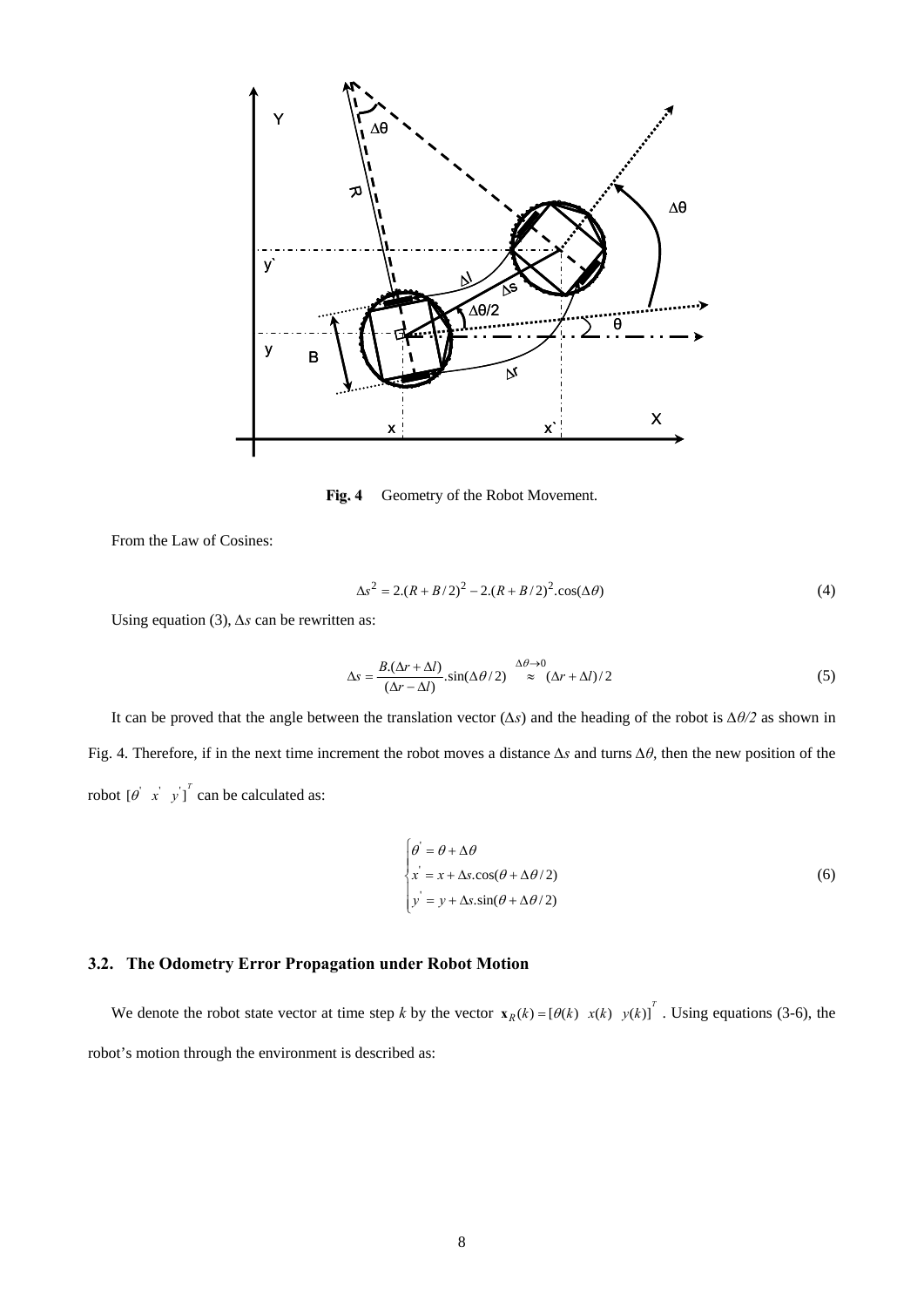

**Fig. 4** Geometry of the Robot Movement.

From the Law of Cosines:

$$
\Delta s^2 = 2.(R + B/2)^2 - 2.(R + B/2)^2 \cdot \cos(\Delta \theta)
$$
 (4)

Using equation (3), *∆s* can be rewritten as:

$$
\Delta s = \frac{B(\Delta r + \Delta l)}{(\Delta r - \Delta l)} \cdot \sin(\Delta \theta / 2) \stackrel{\Delta \theta \to 0}{\approx} (\Delta r + \Delta l) / 2
$$
 (5)

It can be proved that the angle between the translation vector (*∆s*) and the heading of the robot is *∆θ/2* as shown in Fig. 4. Therefore, if in the next time increment the robot moves a distance *∆s* and turns *∆θ*, then the new position of the robot  $\begin{bmatrix} \theta & x' & y' \end{bmatrix}^T$  can be calculated as:

$$
\begin{cases}\n\theta' = \theta + \Delta\theta \\
x' = x + \Delta s \cdot \cos(\theta + \Delta\theta/2) \\
y' = y + \Delta s \cdot \sin(\theta + \Delta\theta/2)\n\end{cases}
$$
\n(6)

# **3.2. The Odometry Error Propagation under Robot Motion**

We denote the robot state vector at time step *k* by the vector  $\mathbf{x}_R(k) = [\theta(k) \ x(k) \ y(k)]^T$ . Using equations (3-6), the robot's motion through the environment is described as: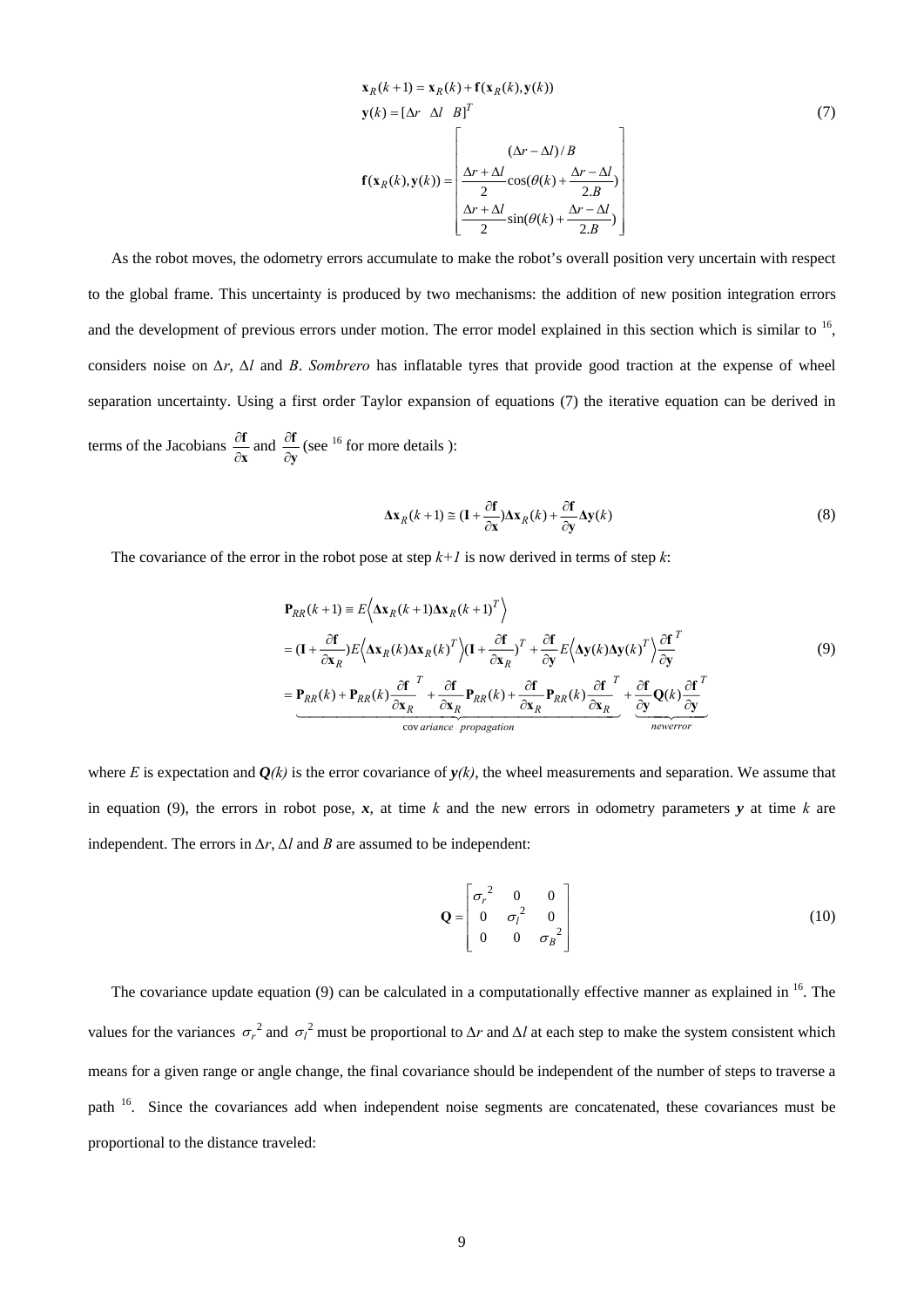$$
\mathbf{x}_{R}(k+1) = \mathbf{x}_{R}(k) + \mathbf{f}(\mathbf{x}_{R}(k), \mathbf{y}(k))
$$
\n
$$
\mathbf{y}(k) = [\Delta r \quad \Delta l \quad B]^T
$$
\n
$$
\mathbf{f}(\mathbf{x}_{R}(k), \mathbf{y}(k)) = \begin{bmatrix}\n(\Delta r - \Delta l)/B \\
\frac{\Delta r + \Delta l}{2}\cos(\theta(k) + \frac{\Delta r - \Delta l}{2.B}) \\
\frac{\Delta r + \Delta l}{2}\sin(\theta(k) + \frac{\Delta r - \Delta l}{2.B})\n\end{bmatrix}
$$
\n(7)

As the robot moves, the odometry errors accumulate to make the robot's overall position very uncertain with respect to the global frame. This uncertainty is produced by two mechanisms: the addition of new position integration errors and the development of previous errors under motion. The error model explained in this section which is similar to  $^{16}$ , considers noise on *∆r*, *∆l* and *B*. *Sombrero* has inflatable tyres that provide good traction at the expense of wheel separation uncertainty. Using a first order Taylor expansion of equations (7) the iterative equation can be derived in terms of the Jacobians  $\frac{\partial f}{\partial x}$  $\frac{\partial f}{\partial x}$  and  $\frac{\partial f}{\partial y}$ **f**  $\frac{\partial \mathbf{f}}{\partial \mathbf{y}}$  (see <sup>16</sup> for more details ):

$$
\Delta \mathbf{x}_R(k+1) \cong (\mathbf{I} + \frac{\partial \mathbf{f}}{\partial \mathbf{x}}) \Delta \mathbf{x}_R(k) + \frac{\partial \mathbf{f}}{\partial \mathbf{y}} \Delta \mathbf{y}(k)
$$
(8)

The covariance of the error in the robot pose at step  $k+1$  is now derived in terms of step  $k$ :

$$
\mathbf{P}_{RR}(k+1) = E\left\langle \Delta \mathbf{x}_R(k+1) \Delta \mathbf{x}_R(k+1)^T \right\rangle
$$
  
\n
$$
= (\mathbf{I} + \frac{\partial \mathbf{f}}{\partial \mathbf{x}_R}) E\left\langle \Delta \mathbf{x}_R(k) \Delta \mathbf{x}_R(k)^T \right\rangle (\mathbf{I} + \frac{\partial \mathbf{f}}{\partial \mathbf{x}_R})^T + \frac{\partial \mathbf{f}}{\partial \mathbf{y}} E\left\langle \Delta \mathbf{y}(k) \Delta \mathbf{y}(k)^T \right\rangle \frac{\partial \mathbf{f}}{\partial \mathbf{y}}^T
$$
  
\n
$$
= \mathbf{P}_{RR}(k) + \mathbf{P}_{RR}(k) \frac{\partial \mathbf{f}}{\partial \mathbf{x}_R}^T + \frac{\partial \mathbf{f}}{\partial \mathbf{x}_R} \mathbf{P}_{RR}(k) + \frac{\partial \mathbf{f}}{\partial \mathbf{x}_R} \mathbf{P}_{RR}(k) \frac{\partial \mathbf{f}}{\partial \mathbf{x}_R}^T + \frac{\partial \mathbf{f}}{\partial \mathbf{y}} \mathbf{Q}(k) \frac{\partial \mathbf{f}}{\partial \mathbf{y}}^T
$$
  
\n
$$
\text{covariance propagation}
$$

where *E* is expectation and  $Q(k)$  is the error covariance of  $y(k)$ , the wheel measurements and separation. We assume that in equation (9), the errors in robot pose,  $x$ , at time  $k$  and the new errors in odometry parameters  $y$  at time  $k$  are independent. The errors in  $\Delta r$ ,  $\Delta l$  and *B* are assumed to be independent:

$$
\mathbf{Q} = \begin{bmatrix} \sigma_r^2 & 0 & 0 \\ 0 & \sigma_l^2 & 0 \\ 0 & 0 & \sigma_B^2 \end{bmatrix}
$$
 (10)

The covariance update equation (9) can be calculated in a computationally effective manner as explained in  $^{16}$ . The values for the variances  $\sigma_r^2$  and  $\sigma_l^2$  must be proportional to  $\Delta r$  and  $\Delta l$  at each step to make the system consistent which means for a given range or angle change, the final covariance should be independent of the number of steps to traverse a path <sup>16</sup>. Since the covariances add when independent noise segments are concatenated, these covariances must be proportional to the distance traveled: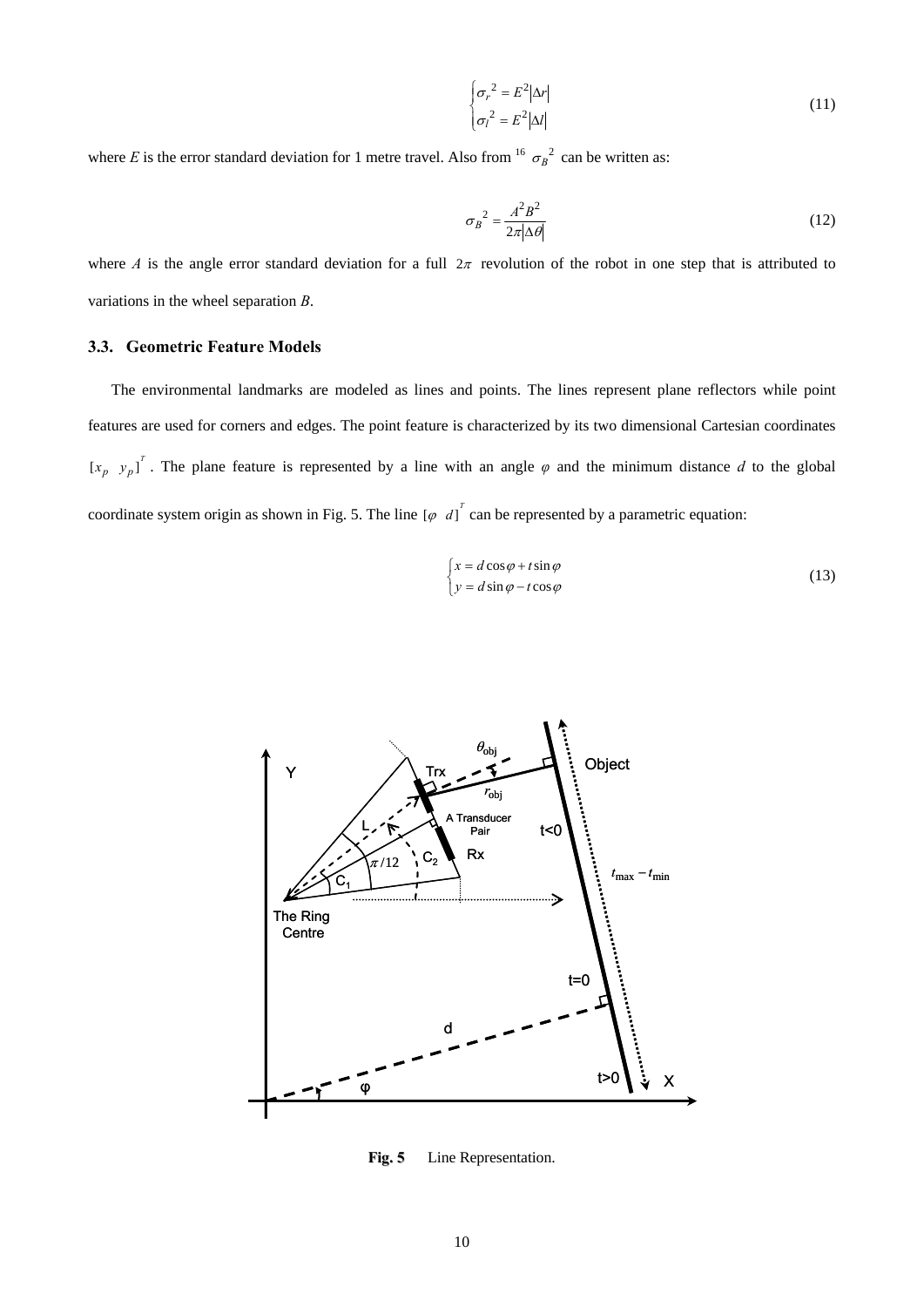$$
\begin{cases}\n\sigma_r^2 = E^2 |\Delta r| \\
\sigma_l^2 = E^2 |\Delta l|\n\end{cases}
$$
\n(11)

where *E* is the error standard deviation for 1 metre travel. Also from <sup>16</sup>  $\sigma_B^2$  can be written as:

$$
\sigma_B^2 = \frac{A^2 B^2}{2\pi |\Delta \theta|} \tag{12}
$$

where *A* is the angle error standard deviation for a full  $2\pi$  revolution of the robot in one step that is attributed to variations in the wheel separation *B*.

## **3.3. Geometric Feature Models**

The environmental landmarks are modeled as lines and points. The lines represent plane reflectors while point features are used for corners and edges. The point feature is characterized by its two dimensional Cartesian coordinates  $[x_p, y_p]^T$ . The plane feature is represented by a line with an angle  $\varphi$  and the minimum distance  $d$  to the global coordinate system origin as shown in Fig. 5. The line  $\left[\varphi \, d\right]^T$  can be represented by a parametric equation:

$$
\begin{cases}\n x = d \cos \varphi + t \sin \varphi \\
 y = d \sin \varphi - t \cos \varphi\n\end{cases}
$$
\n(13)



**Fig. 5** Line Representation.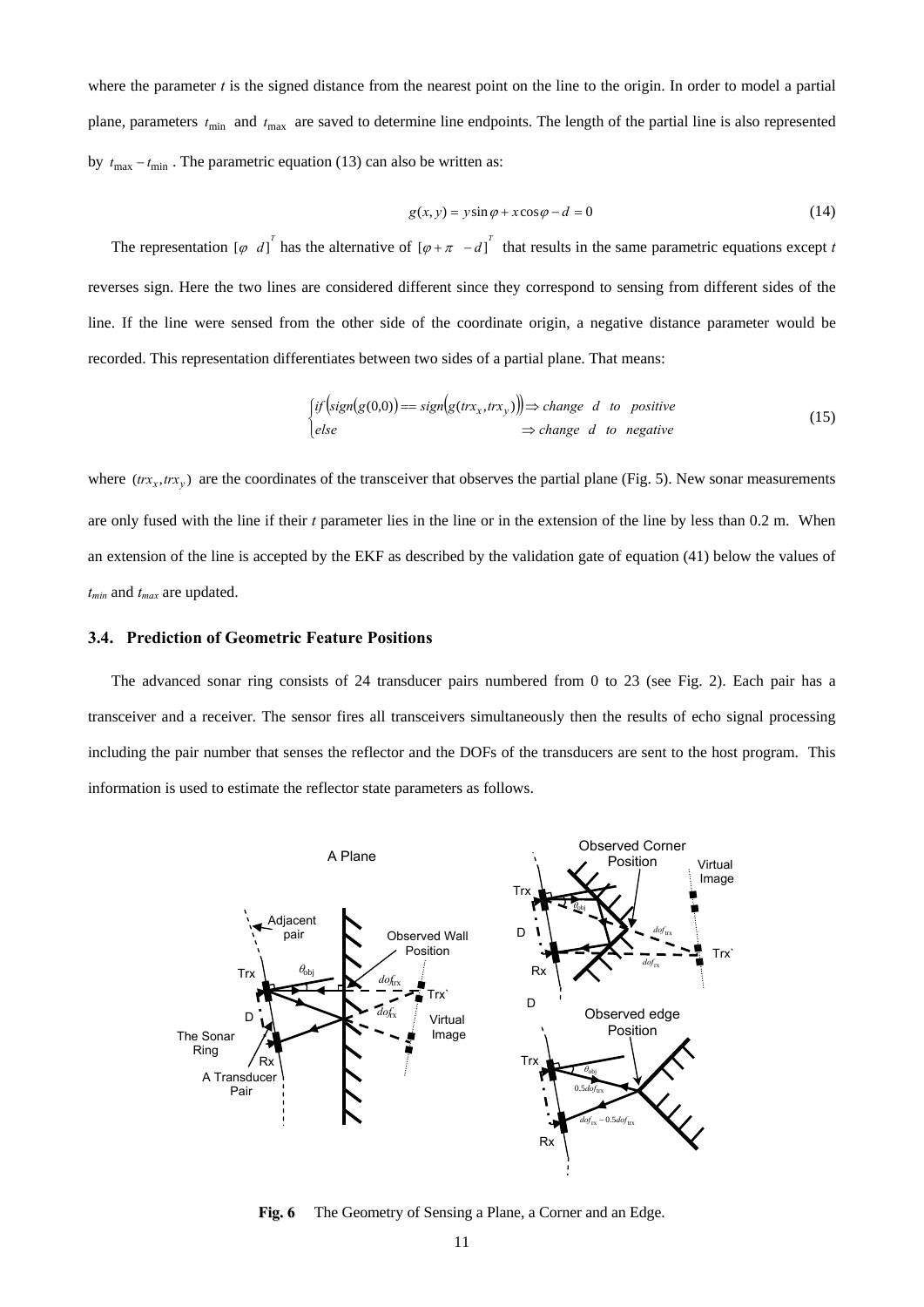where the parameter *t* is the signed distance from the nearest point on the line to the origin. In order to model a partial plane, parameters  $t_{\text{min}}$  and  $t_{\text{max}}$  are saved to determine line endpoints. The length of the partial line is also represented by  $t_{\text{max}} - t_{\text{min}}$ . The parametric equation (13) can also be written as:

$$
g(x, y) = y \sin \varphi + x \cos \varphi - d = 0 \tag{14}
$$

The representation  $\begin{bmatrix} \varphi & d \end{bmatrix}^T$  has the alternative of  $\begin{bmatrix} \varphi + \pi & -d \end{bmatrix}^T$  that results in the same parametric equations except *t* reverses sign. Here the two lines are considered different since they correspond to sensing from different sides of the line. If the line were sensed from the other side of the coordinate origin, a negative distance parameter would be recorded. This representation differentiates between two sides of a partial plane. That means:

$$
\begin{aligned} \int_{\mathcal{C}} \text{if} \left( \text{sign}(g(0,0)) \right) &= \text{sign}(g(\text{tr}x_x, \text{tr}x_y)) \big) \Rightarrow \text{change} \quad d \quad \text{to} \quad \text{positive} \\ \text{else} \quad & \Rightarrow \text{change} \quad d \quad \text{to} \quad \text{negative} \end{aligned} \tag{15}
$$

where  $(tr_{x_x}, tr_{x_y})$  are the coordinates of the transceiver that observes the partial plane (Fig. 5). New sonar measurements are only fused with the line if their *t* parameter lies in the line or in the extension of the line by less than 0.2 m. When an extension of the line is accepted by the EKF as described by the validation gate of equation (41) below the values of *t min* and *tmax* are updated.

## **3.4. Prediction of Geometric Feature Positions**

The advanced sonar ring consists of 24 transducer pairs numbered from 0 to 23 (see Fig. 2). Each pair has a transceiver and a receiver. The sensor fires all transceivers simultaneously then the results of echo signal processing including the pair number that senses the reflector and the DOFs of the transducers are sent to the host program. This information is used to estimate the reflector state parameters as follows.



**Fig. 6** The Geometry of Sensing a Plane, a Corner and an Edge.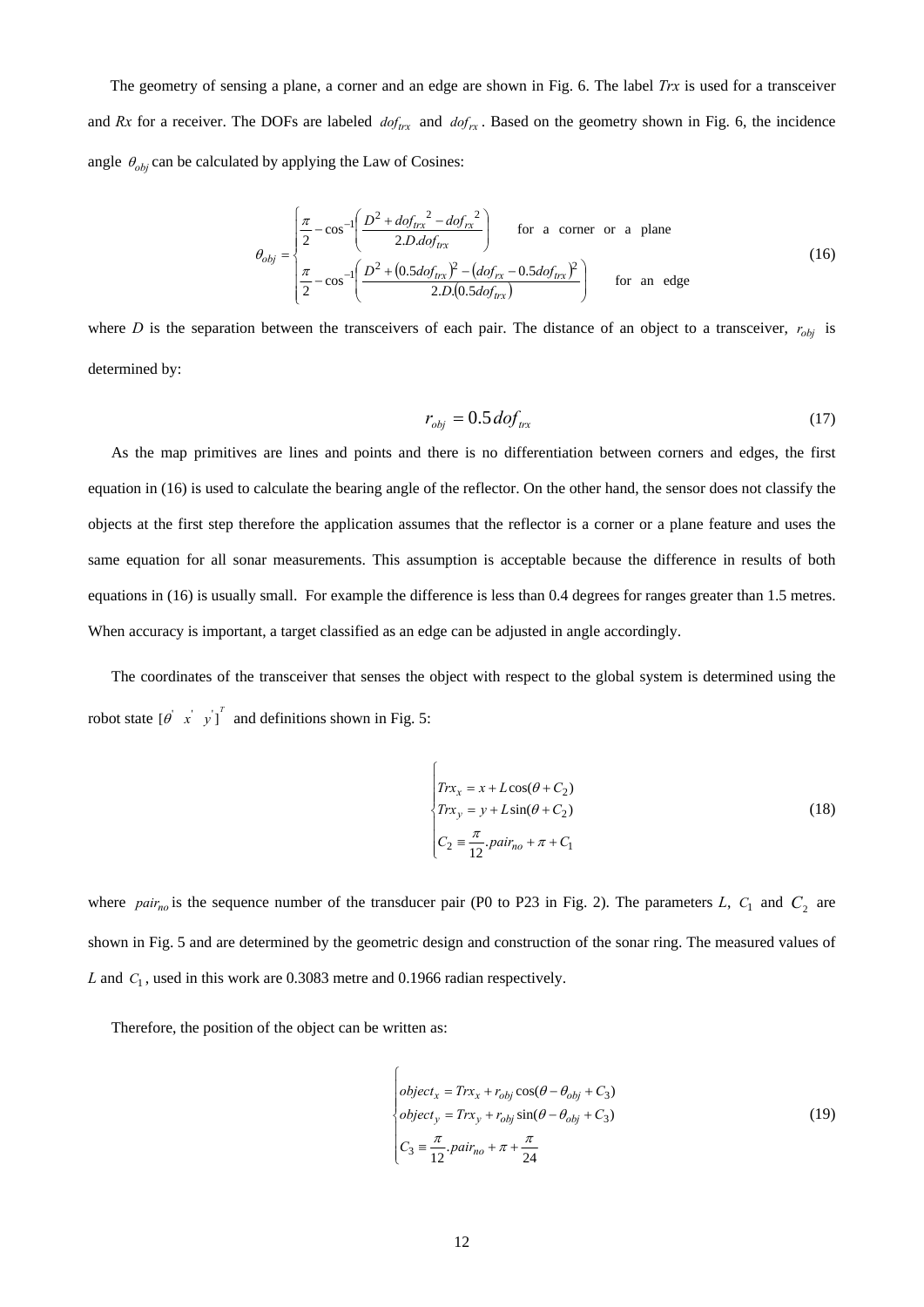The geometry of sensing a plane, a corner and an edge are shown in Fig. 6. The label *Trx* is used for a transceiver and *Rx* for a receiver. The DOFs are labeled  $dof_{tx}$  and  $dof_{rx}$ . Based on the geometry shown in Fig. 6, the incidence angle  $\theta_{obj}$  can be calculated by applying the Law of Cosines:

$$
\theta_{obj} = \begin{cases}\n\frac{\pi}{2} - \cos^{-1}\left(\frac{D^2 + dof_{tx}^2 - dof_{rx}^2}{2.D.dof_{tx}}\right) & \text{for a corner or a plane} \\
\frac{\pi}{2} - \cos^{-1}\left(\frac{D^2 + (0.5dof_{tx})^2 - (dof_{rx} - 0.5dof_{tx})^2}{2.D.(0.5dof_{tx})}\right) & \text{for an edge}\n\end{cases}
$$
\n(16)

where *D* is the separation between the transceivers of each pair. The distance of an object to a transceiver,  $r_{obj}$  is determined by:

$$
r_{obj} = 0.5 \, dof_{tx} \tag{17}
$$

As the map primitives are lines and points and there is no differentiation between corners and edges, the first equation in (16) is used to calculate the bearing angle of the reflector. On the other hand, the sensor does not classify the objects at the first step therefore the application assumes that the reflector is a corner or a plane feature and uses the same equation for all sonar measurements. This assumption is acceptable because the difference in results of both equations in (16) is usually small. For example the difference is less than 0.4 degrees for ranges greater than 1.5 metres. When accuracy is important, a target classified as an edge can be adjusted in angle accordingly.

The coordinates of the transceiver that senses the object with respect to the global system is determined using the robot state  $\begin{bmatrix} \theta & x' & y' \end{bmatrix}^T$  and definitions shown in Fig. 5:

$$
\begin{cases}\nTr x_x = x + L \cos(\theta + C_2) \\
Tr x_y = y + L \sin(\theta + C_2) \\
C_2 = \frac{\pi}{12} . \text{pair}_{no} + \pi + C_1\n\end{cases}
$$
\n(18)

where *pair<sub>no</sub>* is the sequence number of the transducer pair (P0 to P23 in Fig. 2). The parameters *L*,  $C_1$  and  $C_2$  are shown in Fig. 5 and are determined by the geometric design and construction of the sonar ring. The measured values of L and  $C_1$ , used in this work are 0.3083 metre and 0.1966 radian respectively.

 $\epsilon$ 

Therefore, the position of the object can be written as:

$$
\begin{cases}\nobject_x = Tr x_x + r_{obj} \cos(\theta - \theta_{obj} + C_3) \\
object_y = Tr x_y + r_{obj} \sin(\theta - \theta_{obj} + C_3) \\
C_3 = \frac{\pi}{12} . \npair_{no} + \pi + \frac{\pi}{24}\n\end{cases}
$$
\n(19)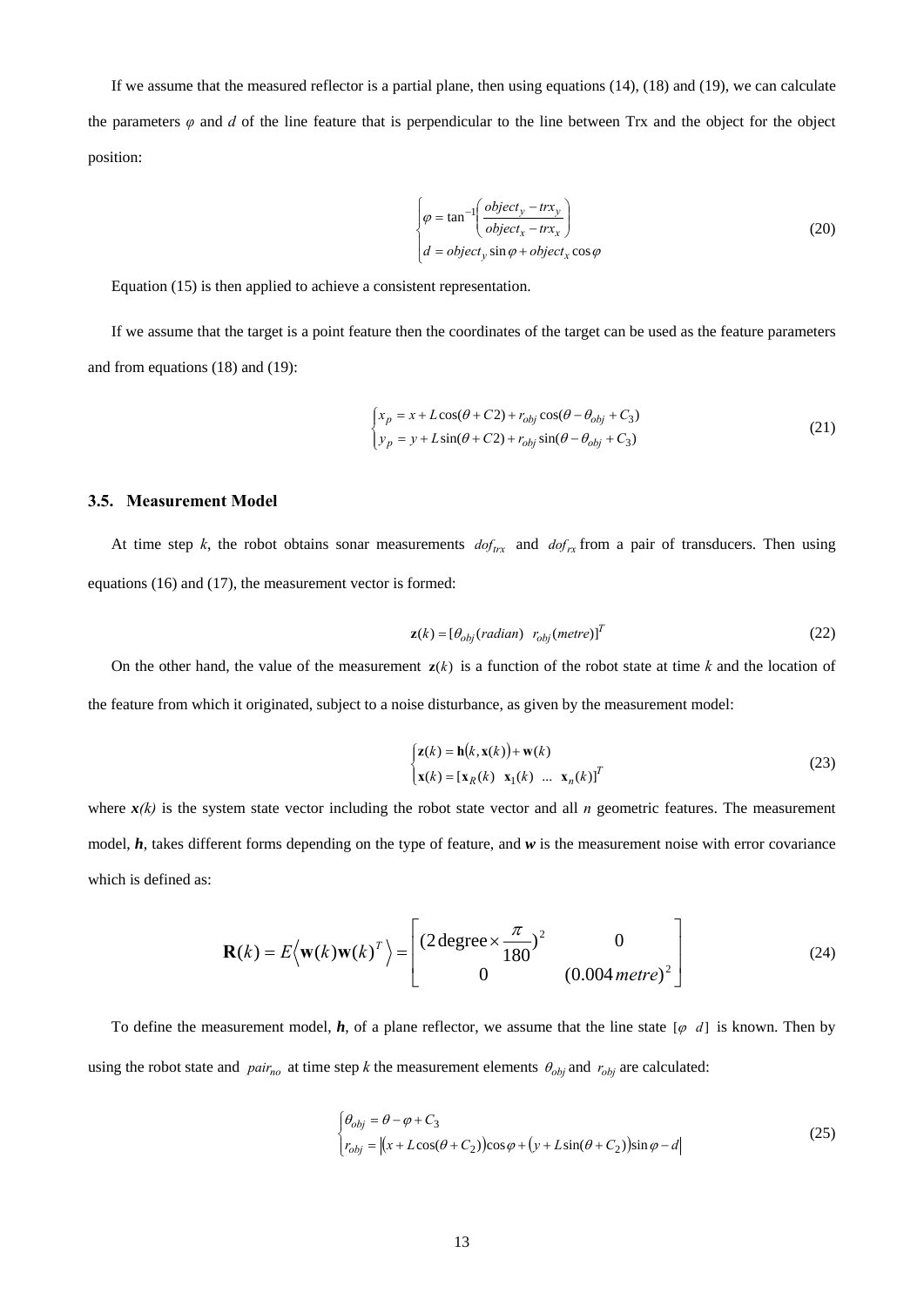If we assume that the measured reflector is a partial plane, then using equations  $(14)$ ,  $(18)$  and  $(19)$ , we can calculate the parameters  $\varphi$  and  $d$  of the line feature that is perpendicular to the line between Trx and the object for the object position:

$$
\begin{cases}\n\varphi = \tan^{-1}\left(\frac{object_y - tr x_y}{object_x - tr x_x}\right) \\
d = object_y \sin \varphi + object_x \cos \varphi\n\end{cases}
$$
\n(20)

Equation (15) is then applied to achieve a consistent representation.

If we assume that the target is a point feature then the coordinates of the target can be used as the feature parameters and from equations (18) and (19):

$$
\begin{cases}\n x_p = x + L\cos(\theta + C2) + r_{obj}\cos(\theta - \theta_{obj} + C_3) \\
 y_p = y + L\sin(\theta + C2) + r_{obj}\sin(\theta - \theta_{obj} + C_3)\n\end{cases}
$$
\n(21)

#### **3.5. Measurement Model**

At time step *k*, the robot obtains sonar measurements  $dof_{trx}$  and  $dof_{rx}$  from a pair of transducers. Then using equations (16) and (17), the measurement vector is formed:

$$
\mathbf{z}(k) = \left[\theta_{obj}(radian) \ \ r_{obj}(metre)\right]^T \tag{22}
$$

On the other hand, the value of the measurement  $z(k)$  is a function of the robot state at time k and the location of the feature from which it originated, subject to a noise disturbance, as given by the measurement model:

$$
\begin{cases} \mathbf{z}(k) = \mathbf{h}(k, \mathbf{x}(k)) + \mathbf{w}(k) \\ \mathbf{x}(k) = [\mathbf{x}_R(k) \quad \mathbf{x}_1(k) \quad \dots \quad \mathbf{x}_n(k)]^T \end{cases}
$$
 (23)

where  $x(k)$  is the system state vector including the robot state vector and all *n* geometric features. The measurement model, *h*, takes different forms depending on the type of feature, and *w* is the measurement noise with error covariance which is defined as:

$$
\mathbf{R}(k) = E\langle \mathbf{w}(k)\mathbf{w}(k)^{T} \rangle = \begin{bmatrix} (2 \text{ degree} \times \frac{\pi}{180})^{2} & 0 \\ 0 & (0.004 \text{ metre})^{2} \end{bmatrix}
$$
(24)

To define the measurement model,  $h$ , of a plane reflector, we assume that the line state  $\lbrack \varphi & d \rbrack$  is known. Then by using the robot state and  $pair_{no}$  at time step *k* the measurement elements  $\theta_{obj}$  and  $r_{obj}$  are calculated:

$$
\begin{cases}\n\theta_{obj} = \theta - \varphi + C_3 \\
r_{obj} = |(x + L\cos(\theta + C_2))\cos\varphi + (y + L\sin(\theta + C_2))\sin\varphi - d|\n\end{cases}
$$
\n(25)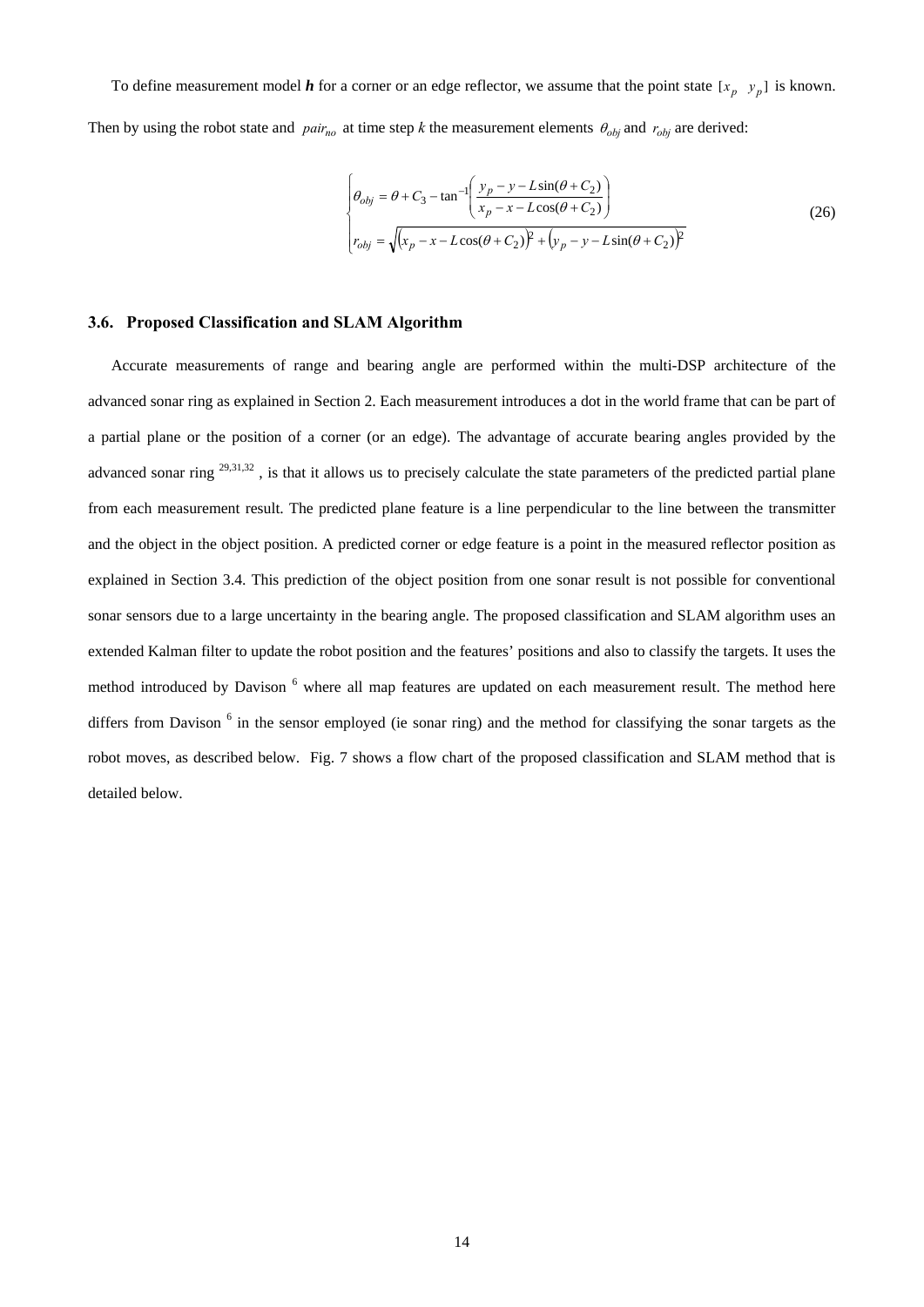To define measurement model  $h$  for a corner or an edge reflector, we assume that the point state  $[x_p, y_p]$  is known. Then by using the robot state and  $pair_{no}$  at time step *k* the measurement elements  $\theta_{obj}$  and  $r_{obj}$  are derived:

$$
\begin{cases}\n\theta_{obj} = \theta + C_3 - \tan^{-1} \left( \frac{y_p - y - L \sin(\theta + C_2)}{x_p - x - L \cos(\theta + C_2)} \right) \\
r_{obj} = \sqrt{(x_p - x - L \cos(\theta + C_2))^2 + (y_p - y - L \sin(\theta + C_2))^2}\n\end{cases}
$$
\n(26)

#### **3.6. Proposed Classification and SLAM Algorithm**

Accurate measurements of range and bearing angle are performed within the multi-DSP architecture of the advanced sonar ring as explained in Section 2. Each measurement introduces a dot in the world frame that can be part of a partial plane or the position of a corner (or an edge). The advantage of accurate bearing angles provided by the advanced sonar ring <sup>29,31,32</sup>, is that it allows us to precisely calculate the state parameters of the predicted partial plane from each measurement result. The predicted plane feature is a line perpendicular to the line between the transmitter and the object in the object position. A predicted corner or edge feature is a point in the measured reflector position as explained in Section 3.4. This prediction of the object position from one sonar result is not possible for conventional sonar sensors due to a large uncertainty in the bearing angle. The proposed classification and SLAM algorithm uses an extended Kalman filter to update the robot position and the features' positions and also to classify the targets. It uses the method introduced by Davison <sup>6</sup> where all map features are updated on each measurement result. The method here differs from Davison <sup>6</sup> in the sensor employed (ie sonar ring) and the method for classifying the sonar targets as the robot moves, as described below. Fig. 7 shows a flow chart of the proposed classification and SLAM method that is detailed below.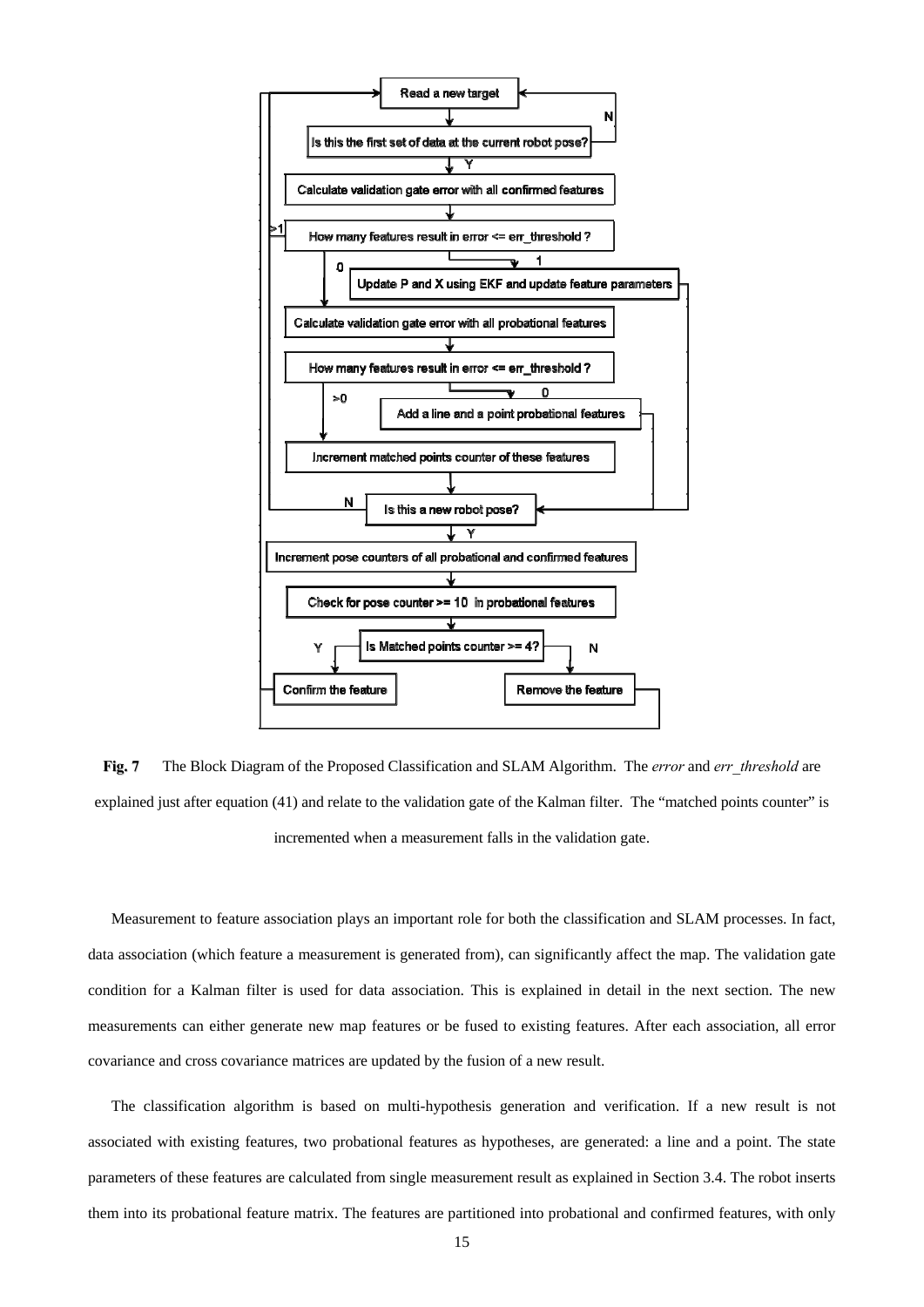

**Fig. 7** The Block Diagram of the Proposed Classification and SLAM Algorithm. The *error* and *err* threshold are explained just after equation (41) and relate to the validation gate of the Kalman filter. The "matched points counter" is incremented when a measurement falls in the validation gate.

Measurement to feature association plays an important role for both the classification and SLAM processes. In fact, data association (which feature a measurement is generated from), can significantly affect the map. The validation gate condition for a Kalman filter is used for data association. This is explained in detail in the next section. The new measurements can either generate new map features or be fused to existing features. After each association, all error covariance and cross covariance matrices are updated by the fusion of a new result.

The classification algorithm is based on multi-hypothesis generation and verification. If a new result is not associated with existing features, two probational features as hypotheses, are generated: a line and a point. The state parameters of these features are calculated from single measurement result as explained in Section 3.4. The robot inserts them into its probational feature matrix. The features are partitioned into probational and confirmed features, with only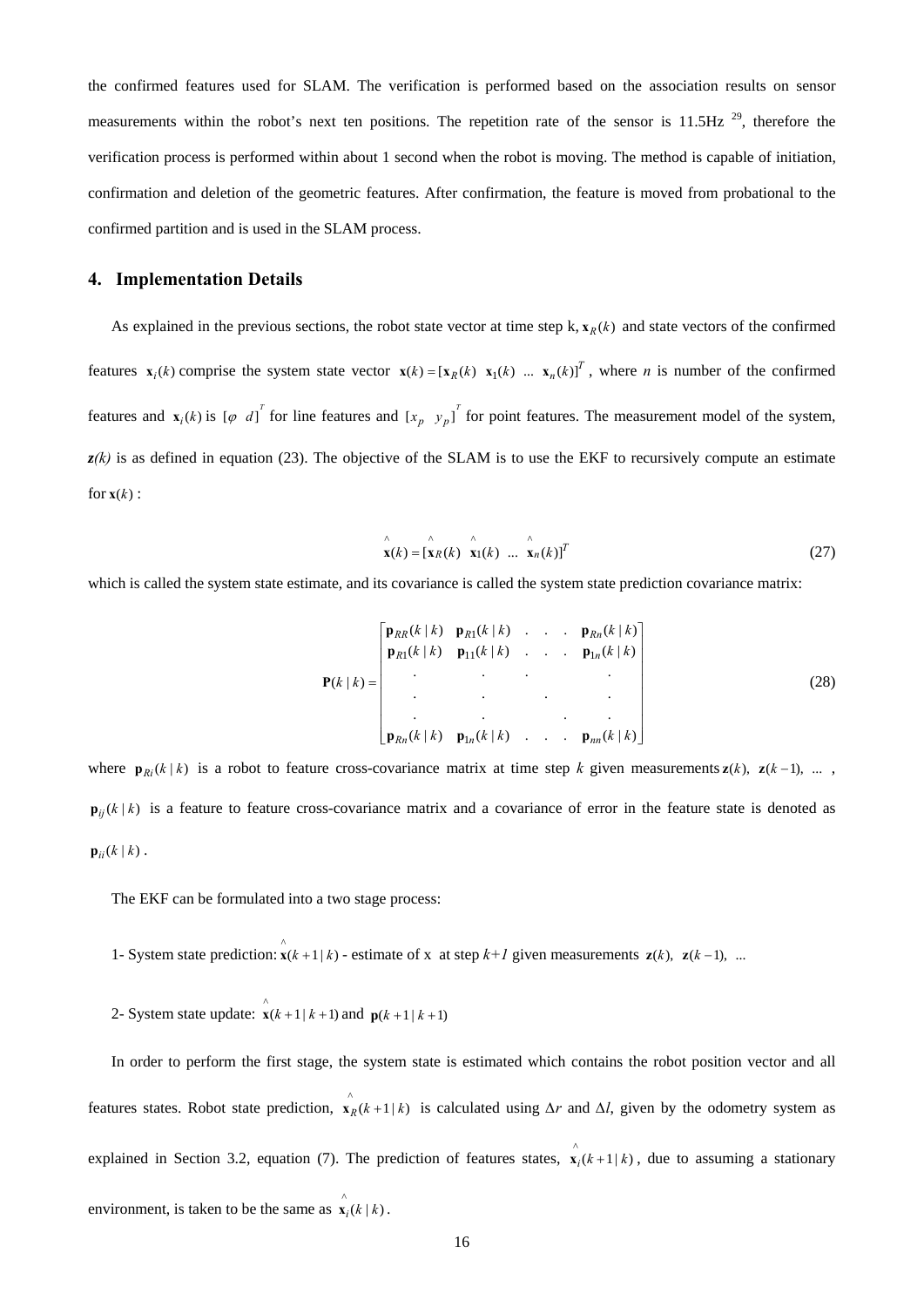the confirmed features used for SLAM. The verification is performed based on the association results on sensor measurements within the robot's next ten positions. The repetition rate of the sensor is  $11.5Hz$ <sup>29</sup>, therefore the verification process is performed within about 1 second when the robot is moving. The method is capable of initiation, confirmation and deletion of the geometric features. After confirmation, the feature is moved from probational to the confirmed partition and is used in the SLAM process.

## **4. Implementation Details**

As explained in the previous sections, the robot state vector at time step  $k$ ,  $\mathbf{x}_R(k)$  and state vectors of the confirmed features  $\mathbf{x}_i(k)$  comprise the system state vector  $\mathbf{x}(k) = [\mathbf{x}_k(k) \ \mathbf{x}_i(k) \ \dots \ \mathbf{x}_n(k)]^T$ , where *n* is number of the confirmed features and  $\mathbf{x}_i(k)$  is  $\begin{bmatrix} \varphi & d \end{bmatrix}^T$  for line features and  $\begin{bmatrix} x_p & y_p \end{bmatrix}^T$  for point features. The measurement model of the system,  $z(k)$  is as defined in equation (23). The objective of the SLAM is to use the EKF to recursively compute an estimate for  $\mathbf{x}(k)$  :

$$
\mathbf{x}(k) = [\mathbf{x}_R(k) \quad \mathbf{x}_1(k) \quad \dots \quad \mathbf{x}_n(k)]^T
$$
 (27)

which is called the system state estimate, and its covariance is called the system state prediction covariance matrix:

$$
\mathbf{P}(k | k) = \begin{bmatrix} \mathbf{p}_{RR}(k | k) & \mathbf{p}_{R1}(k | k) & \cdots & \mathbf{p}_{Rn}(k | k) \\ \mathbf{p}_{R1}(k | k) & \mathbf{p}_{11}(k | k) & \cdots & \mathbf{p}_{1n}(k | k) \\ \vdots & \vdots & \ddots & \vdots \\ \mathbf{p}_{Rn}(k | k) & \mathbf{p}_{1n}(k | k) & \cdots & \mathbf{p}_{nn}(k | k) \end{bmatrix}
$$
(28)

where  $\mathbf{p}_{Ri}(k | k)$  is a robot to feature cross-covariance matrix at time step *k* given measurements  $\mathbf{z}(k)$ ,  $\mathbf{z}(k-1)$ , ...,  $\mathbf{p}_{ij}(k | k)$  is a feature to feature cross-covariance matrix and a covariance of error in the feature state is denoted as  ${\bf p}_{ii}(k \mid k)$ .

The EKF can be formulated into a two stage process:

1- System state prediction:  $\mathbf{x}(k+1|k)$  - estimate of x at step  $k+1$  given measurements  $\mathbf{z}(k)$ ,  $\mathbf{z}(k-1)$ , ...

2- System state update:  $\mathbf{\hat{x}}(k+1|k+1)$  and  $\mathbf{p}(k+1|k+1)$ 

In order to perform the first stage, the system state is estimated which contains the robot position vector and all features states. Robot state prediction,  $\mathbf{x}_R(k+1|k)$  is calculated using *∆r* and *∆l*, given by the odometry system as explained in Section 3.2, equation (7). The prediction of features states,  $\hat{\bf x}_i(k+1|k)$ , due to assuming a stationary environment, is taken to be the same as  $\mathbf{x}_i(k \mid k)$ .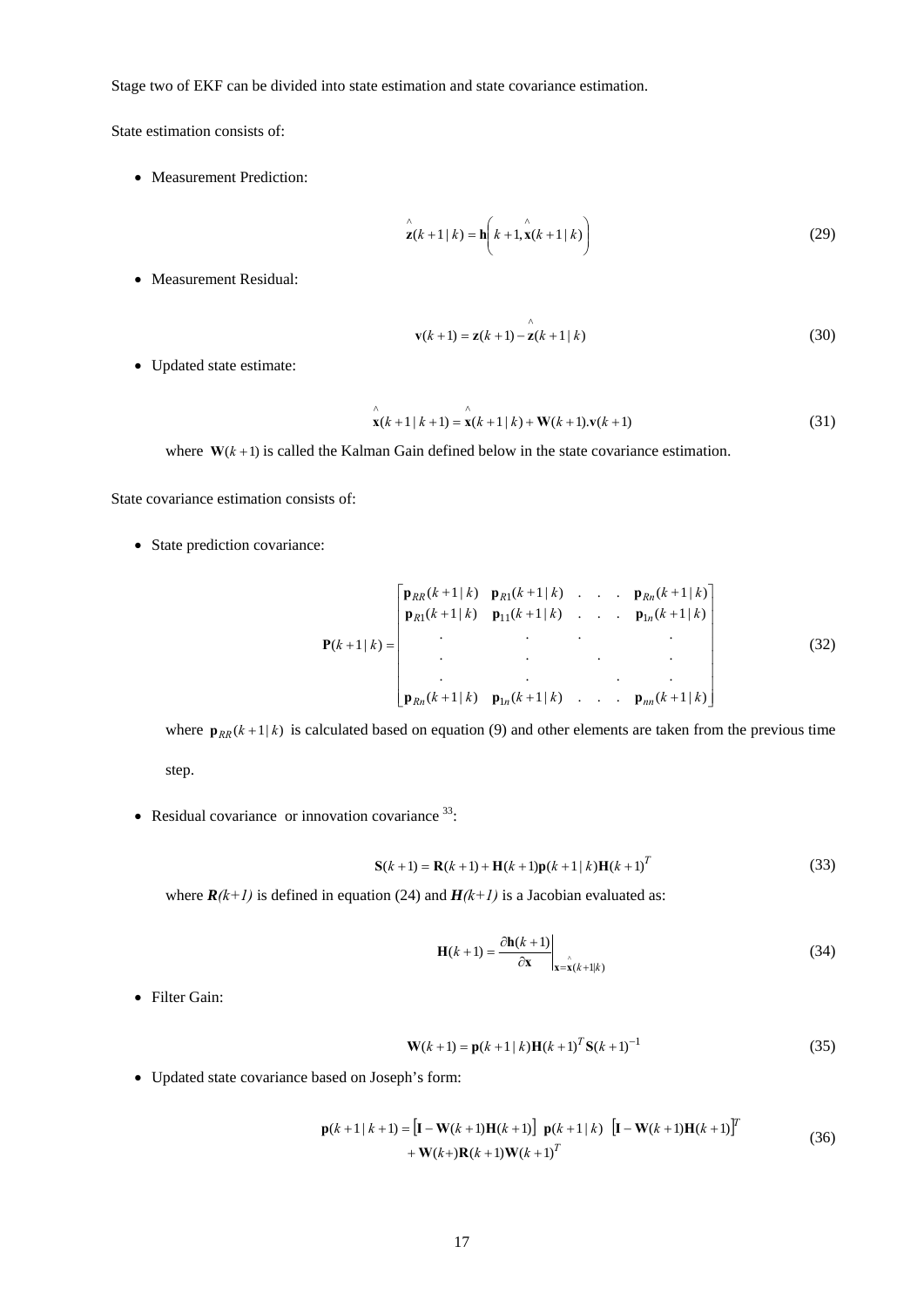Stage two of EKF can be divided into state estimation and state covariance estimation.

State estimation consists of:

• Measurement Prediction:

$$
\mathbf{z}(k+1|k) = \mathbf{h}\left(k+1, \mathbf{x}(k+1|k)\right)
$$
\n(29)

• Measurement Residual:

$$
\mathbf{v}(k+1) = \mathbf{z}(k+1) - \mathbf{z}(k+1 \mid k)
$$
 (30)

• Updated state estimate:

$$
\mathbf{x}(k+1|k+1) = \mathbf{x}(k+1|k) + \mathbf{W}(k+1)\mathbf{v}(k+1)
$$
\n(31)

where  $W(k + 1)$  is called the Kalman Gain defined below in the state covariance estimation.

State covariance estimation consists of:

• State prediction covariance:

$$
\mathbf{P}(k+1|k) = \begin{bmatrix} \mathbf{p}_{RR}(k+1|k) & \mathbf{p}_{R1}(k+1|k) & \cdots & \mathbf{p}_{Rn}(k+1|k) \\ \mathbf{p}_{R1}(k+1|k) & \mathbf{p}_{11}(k+1|k) & \cdots & \mathbf{p}_{1n}(k+1|k) \\ \vdots & \vdots & \ddots & \vdots \\ \mathbf{p}_{Rn}(k+1|k) & \mathbf{p}_{1n}(k+1|k) & \cdots & \mathbf{p}_{nn}(k+1|k) \end{bmatrix}
$$
(32)

where  $p_{RR}(k+1|k)$  is calculated based on equation (9) and other elements are taken from the previous time step.

• Residual covariance or innovation covariance  $33$ :

$$
S(k+1) = R(k+1) + H(k+1)p(k+1|k)H(k+1)T
$$
\n(33)

where  $R(k+1)$  is defined in equation (24) and  $H(k+1)$  is a Jacobian evaluated as:

$$
\mathbf{H}(k+1) = \frac{\partial \mathbf{h}(k+1)}{\partial \mathbf{x}} \bigg|_{\mathbf{x} = \mathbf{x}(k+1|k)} \tag{34}
$$

• Filter Gain:

$$
\mathbf{W}(k+1) = \mathbf{p}(k+1 \mid k)\mathbf{H}(k+1)^T \mathbf{S}(k+1)^{-1}
$$
\n(35)

• Updated state covariance based on Joseph's form:

$$
\mathbf{p}(k+1|k+1) = [\mathbf{I} - \mathbf{W}(k+1)\mathbf{H}(k+1)] \mathbf{p}(k+1|k) [\mathbf{I} - \mathbf{W}(k+1)\mathbf{H}(k+1)]^T + \mathbf{W}(k+1)\mathbf{W}(k+1)\mathbf{W}(k+1)^T
$$
\n(36)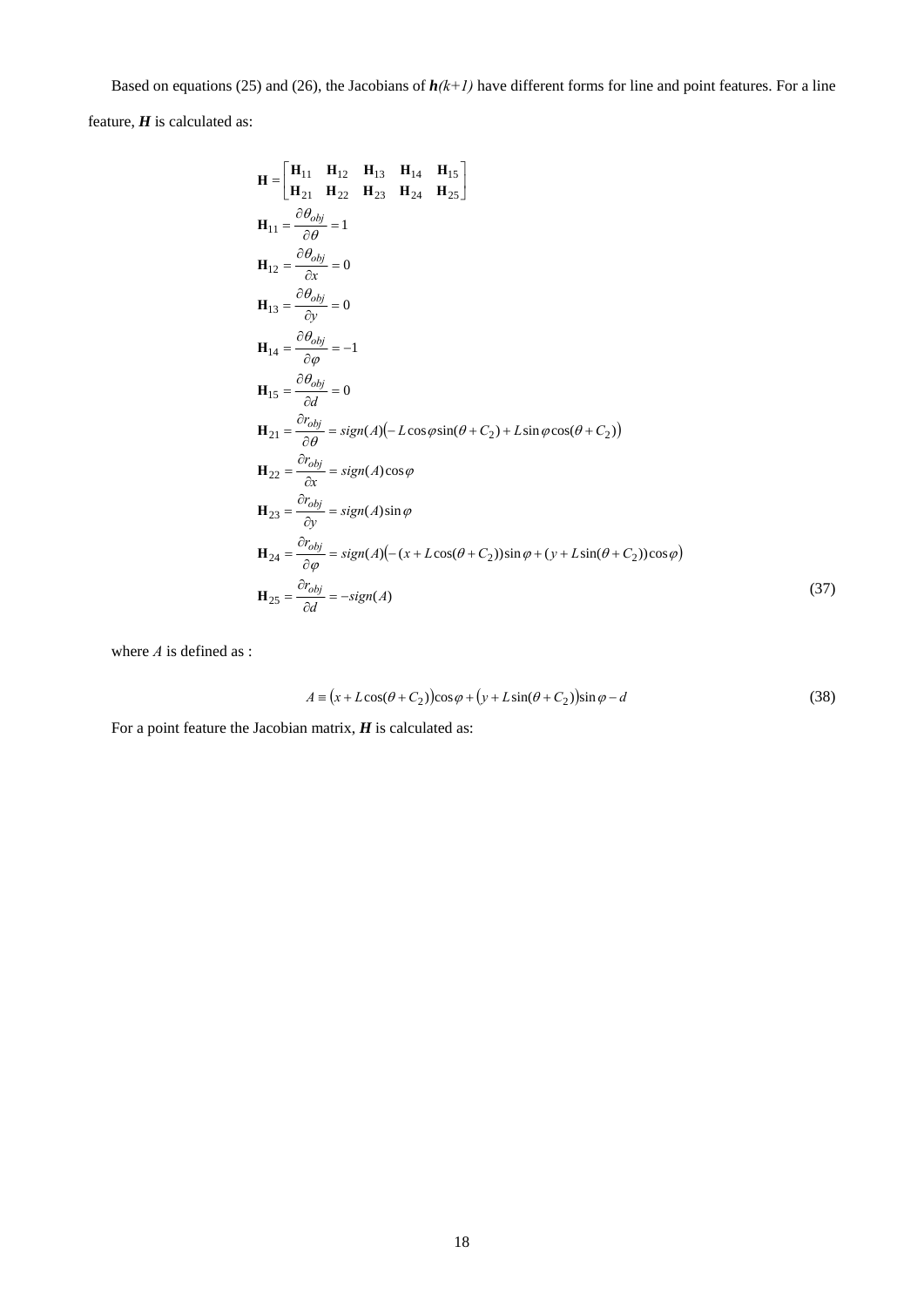Based on equations (25) and (26), the Jacobians of  $h(k+1)$  have different forms for line and point features. For a line

feature, *H* is calculated as:

$$
\mathbf{H} = \begin{bmatrix} \mathbf{H}_{11} & \mathbf{H}_{12} & \mathbf{H}_{13} & \mathbf{H}_{14} & \mathbf{H}_{15} \\ \mathbf{H}_{21} & \mathbf{H}_{22} & \mathbf{H}_{23} & \mathbf{H}_{24} & \mathbf{H}_{25} \end{bmatrix}
$$
  
\n
$$
\mathbf{H}_{11} = \frac{\partial \theta_{obj}}{\partial \theta} = 1
$$
  
\n
$$
\mathbf{H}_{12} = \frac{\partial \theta_{obj}}{\partial x} = 0
$$
  
\n
$$
\mathbf{H}_{13} = \frac{\partial \theta_{obj}}{\partial y} = 0
$$
  
\n
$$
\mathbf{H}_{14} = \frac{\partial \theta_{obj}}{\partial \theta} = -1
$$
  
\n
$$
\mathbf{H}_{15} = \frac{\partial \theta_{obj}}{\partial d} = 0
$$
  
\n
$$
\mathbf{H}_{21} = \frac{\partial r_{obj}}{\partial \theta} = sign(A)(-L\cos\varphi \sin(\theta + C_2) + L\sin\varphi \cos(\theta + C_2))
$$
  
\n
$$
\mathbf{H}_{22} = \frac{\partial r_{obj}}{\partial x} = sign(A)\cos\varphi
$$
  
\n
$$
\mathbf{H}_{23} = \frac{\partial r_{obj}}{\partial y} = sign(A)\sin\varphi
$$
  
\n
$$
\mathbf{H}_{24} = \frac{\partial r_{obj}}{\partial \varphi} = sign(A)(-(x + L\cos(\theta + C_2))\sin\varphi + (y + L\sin(\theta + C_2))\cos\varphi)
$$
  
\n
$$
\mathbf{H}_{25} = \frac{\partial r_{obj}}{\partial d} = -sign(A)
$$
 (37)

where *A* is defined as :

$$
A = (x + L\cos(\theta + C_2))\cos\varphi + (y + L\sin(\theta + C_2))\sin\varphi - d
$$
\n(38)

For a point feature the Jacobian matrix, *H* is calculated as: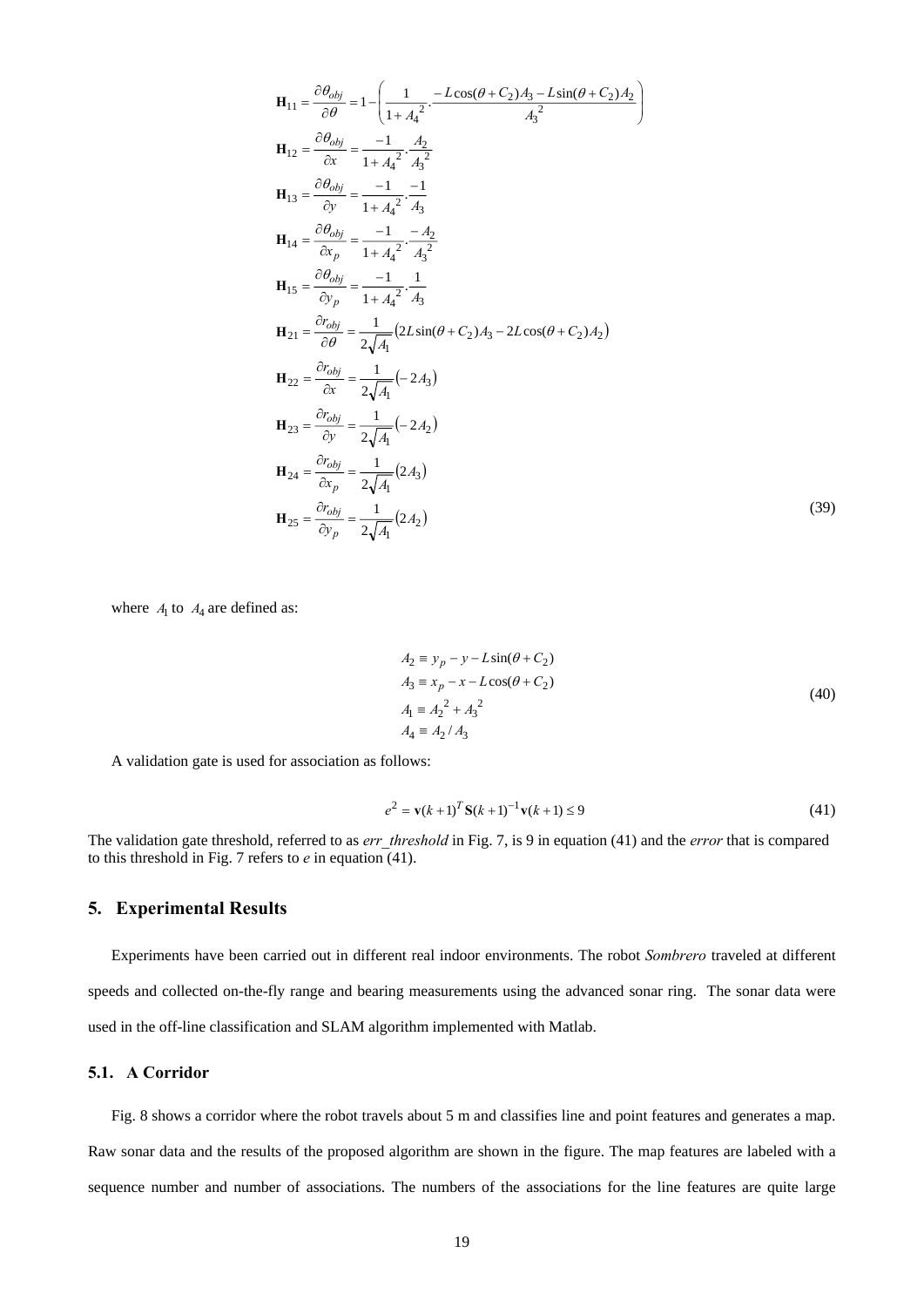$$
H_{11} = \frac{\partial \theta_{obj}}{\partial \theta} = 1 - \left( \frac{1}{1 + A_4^2} - \frac{L \cos(\theta + C_2) A_3 - L \sin(\theta + C_2) A_2}{A_3^2} \right)
$$
  
\n
$$
H_{12} = \frac{\partial \theta_{obj}}{\partial x} = \frac{-1}{1 + A_4^2} \cdot \frac{A_2}{A_3^2}
$$
  
\n
$$
H_{13} = \frac{\partial \theta_{obj}}{\partial y} = \frac{-1}{1 + A_4^2} \cdot \frac{-1}{A_3}
$$
  
\n
$$
H_{14} = \frac{\partial \theta_{obj}}{\partial x_p} = \frac{-1}{1 + A_4^2} \cdot \frac{-A_2}{A_3^2}
$$
  
\n
$$
H_{15} = \frac{\partial \theta_{obj}}{\partial y_p} = \frac{-1}{1 + A_4^2} \cdot \frac{1}{A_3}
$$
  
\n
$$
H_{21} = \frac{\partial r_{obj}}{\partial \theta} = \frac{1}{2\sqrt{A_1}} (2L \sin(\theta + C_2) A_3 - 2L \cos(\theta + C_2) A_2)
$$
  
\n
$$
H_{22} = \frac{\partial r_{obj}}{\partial x} = \frac{1}{2\sqrt{A_1}} (-2A_3)
$$
  
\n
$$
H_{23} = \frac{\partial r_{obj}}{\partial y} = \frac{1}{2\sqrt{A_1}} (-2A_2)
$$
  
\n
$$
H_{24} = \frac{\partial r_{obj}}{\partial x_p} = \frac{1}{2\sqrt{A_1}} (2A_3)
$$
  
\n
$$
H_{25} = \frac{\partial r_{obj}}{\partial y_p} = \frac{1}{2\sqrt{A_1}} (2A_2)
$$

where  $A_1$  to  $A_4$  are defined as:

$$
A_2 \equiv y_p - y - L\sin(\theta + C_2)
$$
  
\n
$$
A_3 \equiv x_p - x - L\cos(\theta + C_2)
$$
  
\n
$$
A_1 \equiv A_2^2 + A_3^2
$$
  
\n
$$
A_4 \equiv A_2 / A_3
$$
\n(40)

(39)

A validation gate is used for association as follows:

$$
e^{2} = \mathbf{v}(k+1)^{T} \mathbf{S}(k+1)^{-1} \mathbf{v}(k+1) \le 9
$$
\n(41)

The validation gate threshold, referred to as *err* threshold in Fig. 7, is 9 in equation (41) and the *error* that is compared to this threshold in Fig. 7 refers to *e* in equation (41).

## **5. Experimental Results**

Experiments have been carried out in different real indoor environments. The robot *Sombrero* traveled at different speeds and collected on-the-fly range and bearing measurements using the advanced sonar ring. The sonar data were used in the off-line classification and SLAM algorithm implemented with Matlab.

## **5.1. A Corridor**

Fig. 8 shows a corridor where the robot travels about 5 m and classifies line and point features and generates a map. Raw sonar data and the results of the proposed algorithm are shown in the figure. The map features are labeled with a sequence number and number of associations. The numbers of the associations for the line features are quite large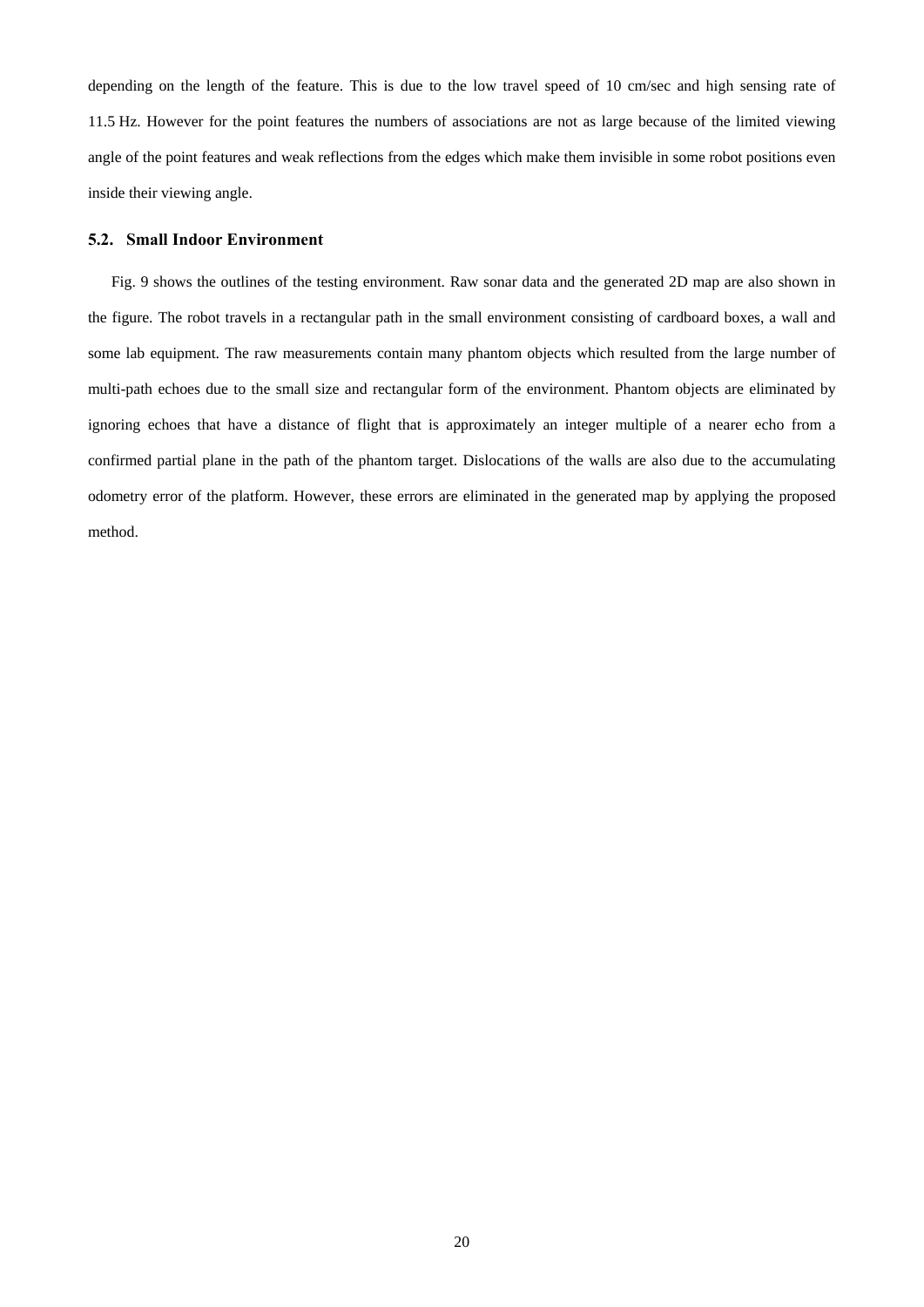depending on the length of the feature. This is due to the low travel speed of 10 cm/sec and high sensing rate of 11.5 Hz. However for the point features the numbers of associations are not as large because of the limited viewing angle of the point features and weak reflections from the edges which make them invisible in some robot positions even inside their viewing angle.

#### **5.2. Small Indoor Environment**

Fig. 9 shows the outlines of the testing environment. Raw sonar data and the generated 2D map are also shown in the figure. The robot travels in a rectangular path in the small environment consisting of cardboard boxes, a wall and some lab equipment. The raw measurements contain many phantom objects which resulted from the large number of multi-path echoes due to the small size and rectangular form of the environment. Phantom objects are eliminated by ignoring echoes that have a distance of flight that is approximately an integer multiple of a nearer echo from a confirmed partial plane in the path of the phantom target. Dislocations of the walls are also due to the accumulating odometry error of the platform. However, these errors are eliminated in the generated map by applying the proposed method.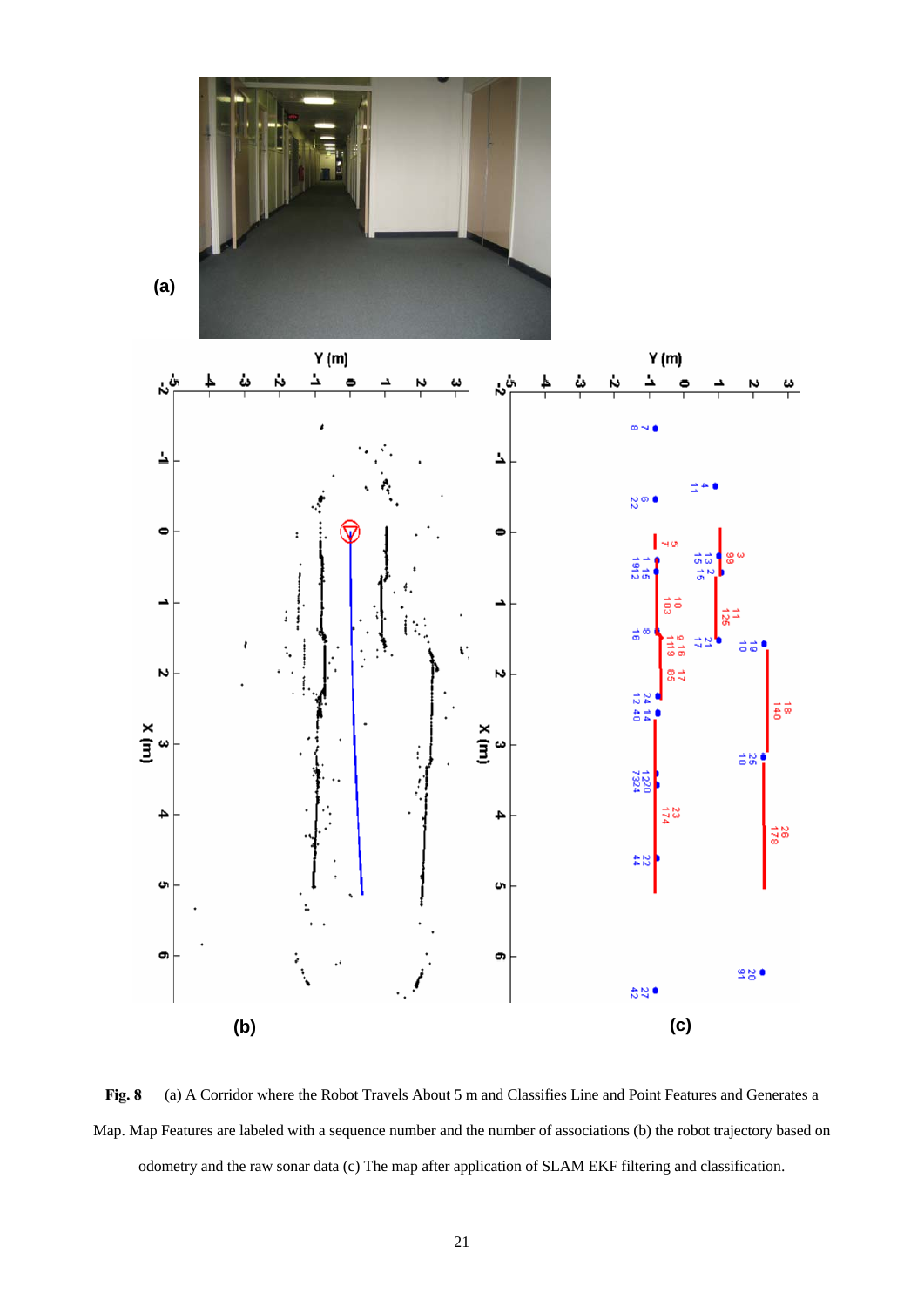





**Fig. 8** (a) A Corridor where the Robot Travels About 5 m and Classifies Line and Point Features and Generates a Map. Map Features are labeled with a sequence number and the number of associations (b) the robot trajectory based on odometry and the raw sonar data (c) The map after application of SLAM EKF filtering and classification.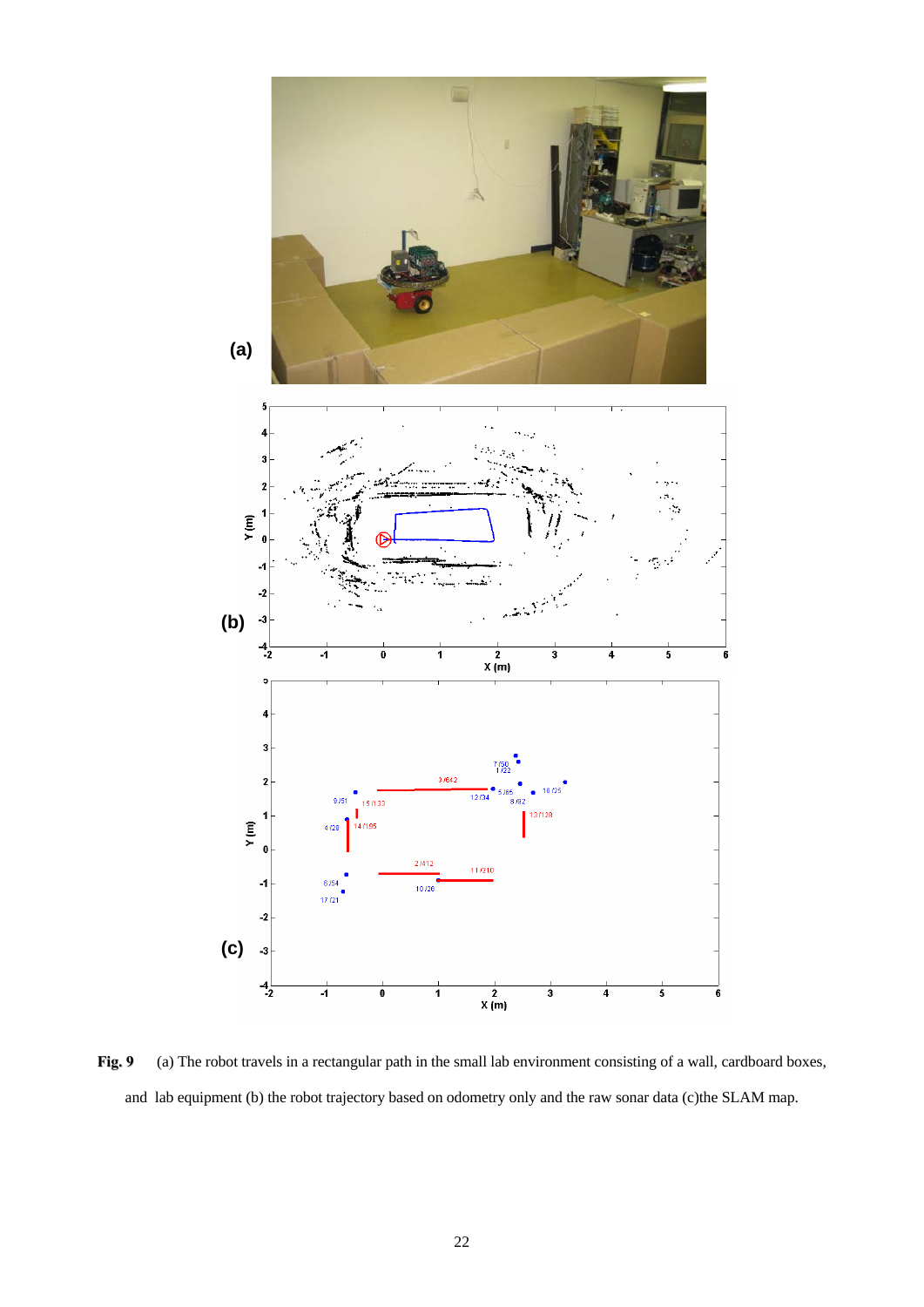

Fig. 9 (a) The robot travels in a rectangular path in the small lab environment consisting of a wall, cardboard boxes, and lab equipment (b) the robot trajectory based on odometry only and the raw sonar data (c)the SLAM map.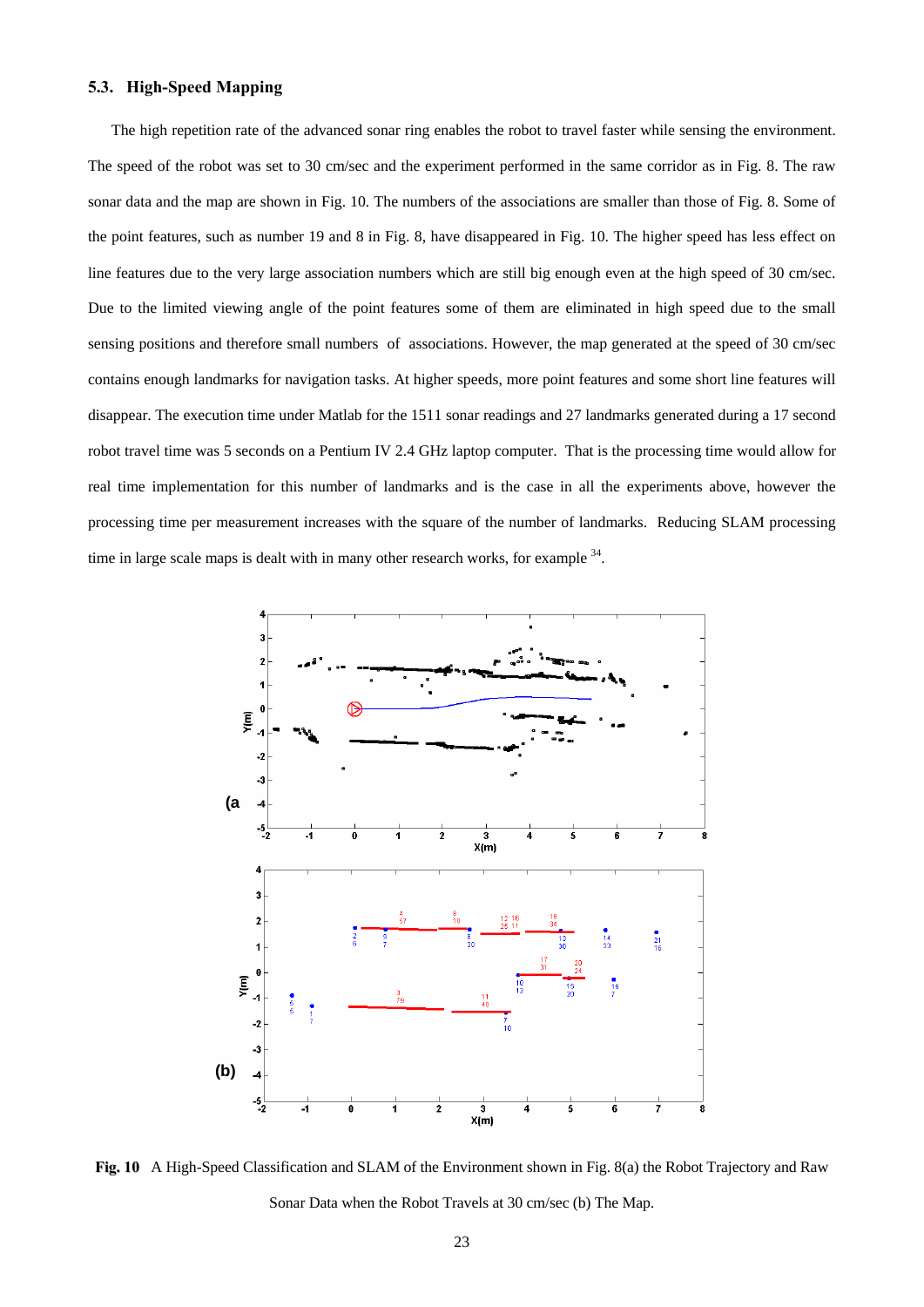## **5.3. High-Speed Mapping**

The high repetition rate of the advanced sonar ring enables the robot to travel faster while sensing the environment. The speed of the robot was set to 30 cm/sec and the experiment performed in the same corridor as in Fig. 8. The raw sonar data and the map are shown in Fig. 10. The numbers of the associations are smaller than those of Fig. 8. Some of the point features, such as number 19 and 8 in Fig. 8, have disappeared in Fig. 10. The higher speed has less effect on line features due to the very large association numbers which are still big enough even at the high speed of 30 cm/sec. Due to the limited viewing angle of the point features some of them are eliminated in high speed due to the small sensing positions and therefore small numbers of associations. However, the map generated at the speed of 30 cm/sec contains enough landmarks for navigation tasks. At higher speeds, more point features and some short line features will disappear. The execution time under Matlab for the 1511 sonar readings and 27 landmarks generated during a 17 second robot travel time was 5 seconds on a Pentium IV 2.4 GHz laptop computer. That is the processing time would allow for real time implementation for this number of landmarks and is the case in all the experiments above, however the processing time per measurement increases with the square of the number of landmarks. Reducing SLAM processing time in large scale maps is dealt with in many other research works, for example <sup>34</sup>.



**Fig. 10** A High-Speed Classification and SLAM of the Environment shown in Fig. 8(a) the Robot Trajectory and Raw Sonar Data when the Robot Travels at 30 cm/sec (b) The Map.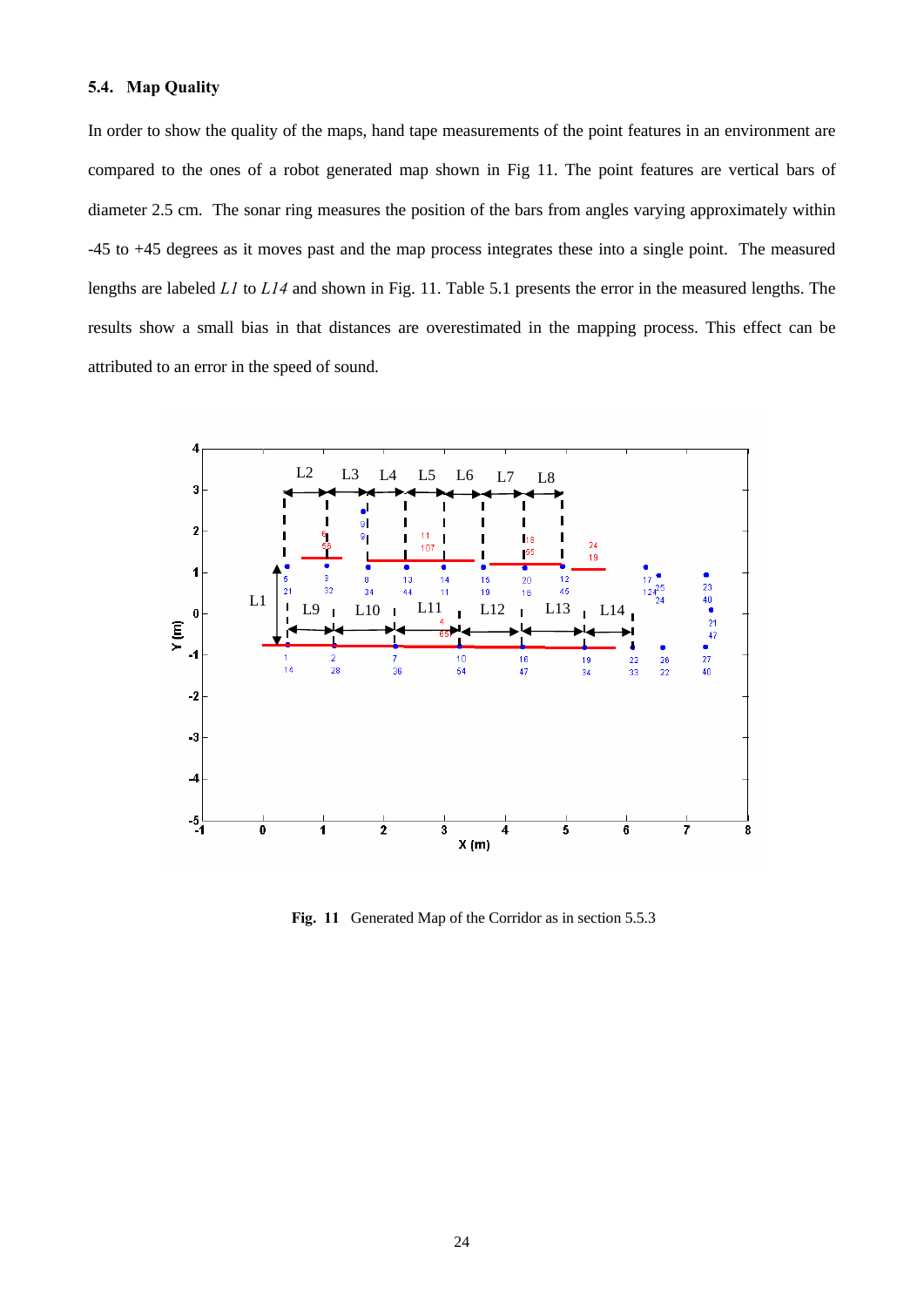## **5.4. Map Quality**

In order to show the quality of the maps, hand tape measurements of the point features in an environment are compared to the ones of a robot generated map shown in Fig 11. The point features are vertical bars of diameter 2.5 cm. The sonar ring measures the position of the bars from angles varying approximately within -45 to +45 degrees as it moves past and the map process integrates these into a single point. The measured lengths are labeled *L1* to *L14* and shown in Fig. 11. Table 5.1 presents the error in the measured lengths. The results show a small bias in that distances are overestimated in the mapping process. This effect can be attributed to an error in the speed of sound.



Fig. 11 Generated Map of the Corridor as in section 5.5.3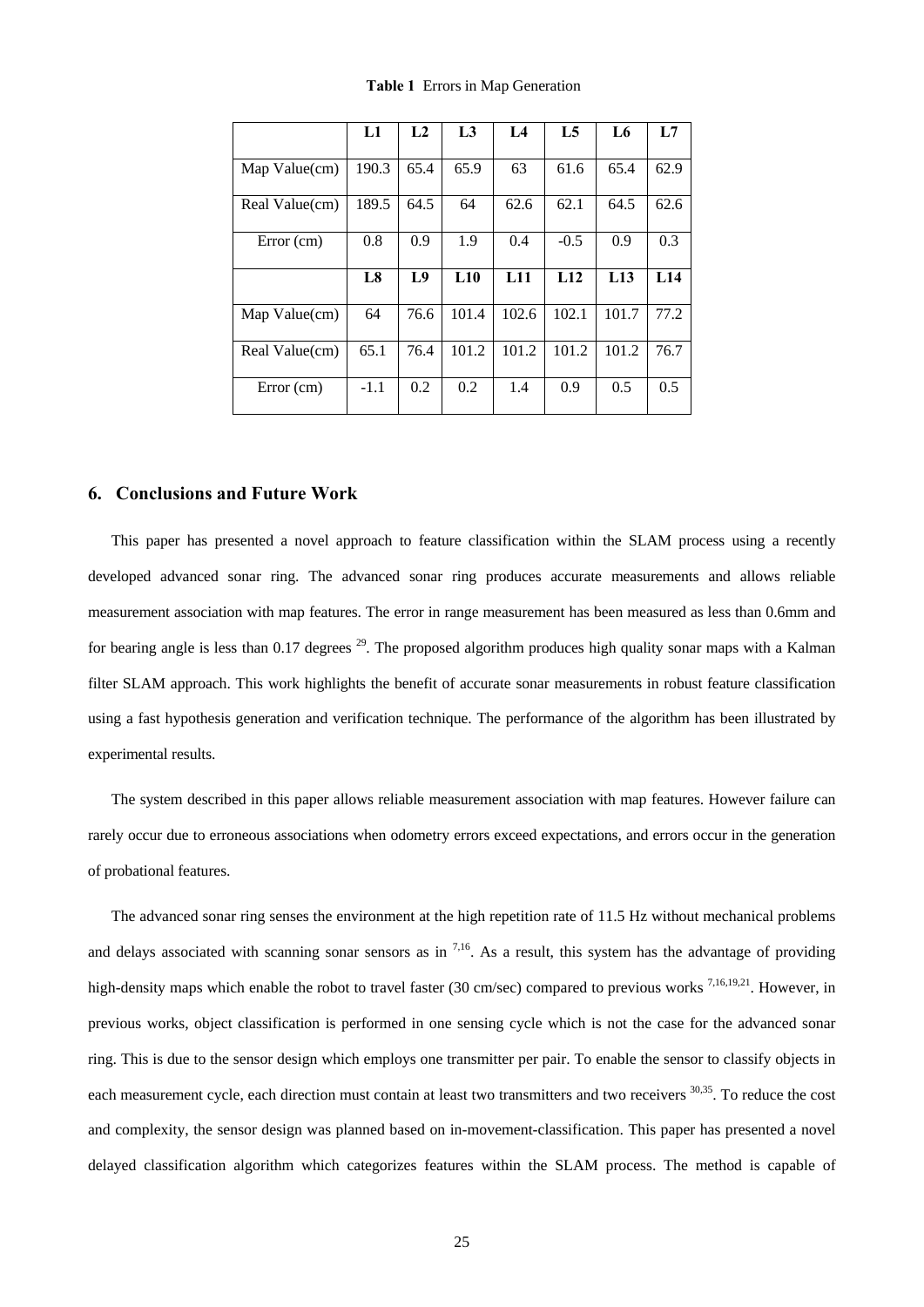|                | L1     | L <sub>2</sub> | L3    | IA    | L <sub>5</sub>  | L6    | L7   |
|----------------|--------|----------------|-------|-------|-----------------|-------|------|
| Map Value(cm)  | 190.3  | 65.4           | 65.9  | 63    | 61.6            | 65.4  | 62.9 |
| Real Value(cm) | 189.5  | 64.5           | 64    | 62.6  | 62.1            | 64.5  | 62.6 |
| Error (cm)     | 0.8    | 0.9            | 1.9   | 0.4   | $-0.5$          | 0.9   | 0.3  |
|                | L8     | L9             | L10   | L11   | L <sub>12</sub> | L13   | L14  |
| Map Value(cm)  | 64     | 76.6           | 101.4 | 102.6 | 102.1           | 101.7 | 77.2 |
| Real Value(cm) | 65.1   | 76.4           | 101.2 | 101.2 | 101.2           | 101.2 | 76.7 |
| Error (cm)     | $-1.1$ | 0.2            | 0.2   | 1.4   | 0.9             | 0.5   | 0.5  |

**Table 1** Errors in Map Generation

## **6. Conclusions and Future Work**

This paper has presented a novel approach to feature classification within the SLAM process using a recently developed advanced sonar ring. The advanced sonar ring produces accurate measurements and allows reliable measurement association with map features. The error in range measurement has been measured as less than 0.6mm and for bearing angle is less than  $0.17$  degrees  $2^9$ . The proposed algorithm produces high quality sonar maps with a Kalman filter SLAM approach. This work highlights the benefit of accurate sonar measurements in robust feature classification using a fast hypothesis generation and verification technique. The performance of the algorithm has been illustrated by experimental results.

The system described in this paper allows reliable measurement association with map features. However failure can rarely occur due to erroneous associations when odometry errors exceed expectations, and errors occur in the generation of probational features.

The advanced sonar ring senses the environment at the high repetition rate of 11.5 Hz without mechanical problems and delays associated with scanning sonar sensors as in  $7,16$ . As a result, this system has the advantage of providing high-density maps which enable the robot to travel faster (30 cm/sec) compared to previous works <sup>7,16,19,21</sup>. However, in previous works, object classification is performed in one sensing cycle which is not the case for the advanced sonar ring. This is due to the sensor design which employs one transmitter per pair. To enable the sensor to classify objects in each measurement cycle, each direction must contain at least two transmitters and two receivers <sup>30,35</sup>. To reduce the cost and complexity, the sensor design was planned based on in-movement-classification. This paper has presented a novel delayed classification algorithm which categorizes features within the SLAM process. The method is capable of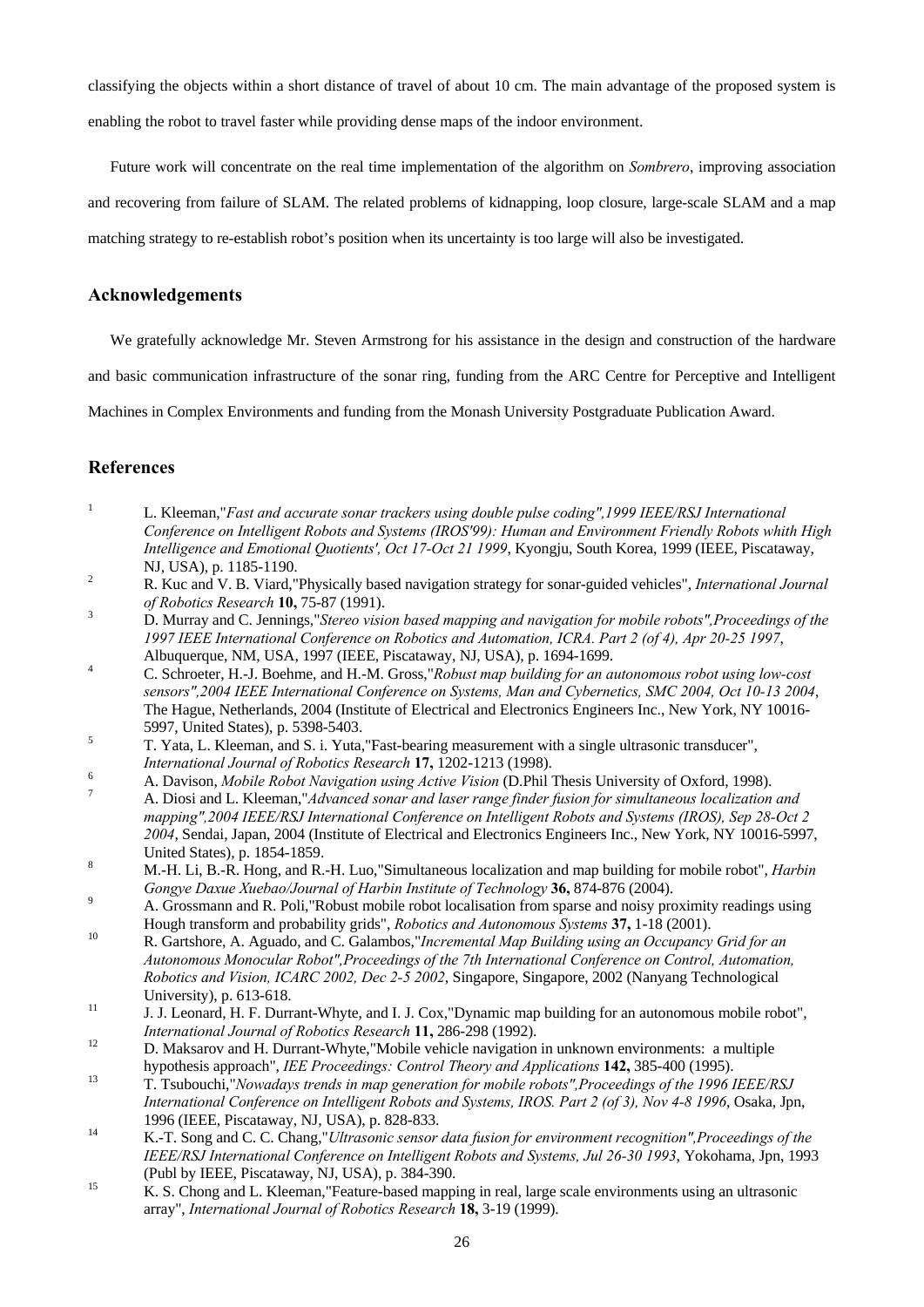classifying the objects within a short distance of travel of about 10 cm. The main advantage of the proposed system is enabling the robot to travel faster while providing dense maps of the indoor environment.

Future work will concentrate on the real time implementation of the algorithm on *Sombrero*, improving association and recovering from failure of SLAM. The related problems of kidnapping, loop closure, large-scale SLAM and a map matching strategy to re-establish robot's position when its uncertainty is too large will also be investigated.

## **Acknowledgements**

We gratefully acknowledge Mr. Steven Armstrong for his assistance in the design and construction of the hardware

and basic communication infrastructure of the sonar ring, funding from the ARC Centre for Perceptive and Intelligent

Machines in Complex Environments and funding from the Monash University Postgraduate Publication Award.

# **References**

- <sup>1</sup> L. Kleeman, *Fast and accurate sonar trackers using double pulse coding", 1999 IEEE/RSJ International Conference on Intelligent Robots and Systems (IROS'99): Human and Environment Friendly Robots whith High Intelligence and Emotional Quotients', Oct 17-Oct 21 1999*, Kyongju, South Korea, 1999 (IEEE, Piscataway,
- NJ, USA), p. 1185-1190. 2 R. Kuc and V. B. Viard,"Physically based navigation strategy for sonar-guided vehicles", *International Journal of Robotics Research* **10,** 75-87 (1991). 3 D. Murray and C. Jennings,"*Stereo vision based mapping and navigation for mobile robots",Proceedings of the*
- *1997 IEEE International Conference on Robotics and Automation, ICRA. Part 2 (of 4), Apr 20-25 1997*,
- Albuquerque, NM, USA, 1997 (IEEE, Piscataway, NJ, USA), p. 1694-1699. 4 C. Schroeter, H.-J. Boehme, and H.-M. Gross,"*Robust map building for an autonomous robot using low-cost sensors",2004 IEEE International Conference on Systems, Man and Cybernetics, SMC 2004, Oct 10-13 2004*, The Hague, Netherlands, 2004 (Institute of Electrical and Electronics Engineers Inc., New York, NY 10016- 5997, United States), p. 5398-5403.<br>
5 T. Yata, L. Kleeman, and S. i. Yuta, "Fast-bearing measurement with a single ultrasonic transducer",
- 
- 
- International Journal of Robotics Research 17, 1202-1213 (1998).<br>A. Davison, Mobile Robot Navigation using Active Vision (D.Phil Thesis University of Oxford, 1998).<br>A. Diosi and L. Kleeman,"Advanced sonar and laser range f *mapping",2004 IEEE/RSJ International Conference on Intelligent Robots and Systems (IROS), Sep 28-Oct 2 2004*, Sendai, Japan, 2004 (Institute of Electrical and Electronics Engineers Inc., New York, NY 10016-5997,
- United States), p. 1854-1859. 8 M.-H. Li, B.-R. Hong, and R.-H. Luo,"Simultaneous localization and map building for mobile robot", *Harbin Gongye Daxue Xuebao/Journal of Harbin Institute of Technology* **36,** 874-876 (2004).<br><sup>9</sup> A. Grossmann and R. Poli,"Robust mobile robot localisation from sparse and noisy proximity readings using
- Hough transform and probability grids", *Robotics and Autonomous Systems* **37,** 1-18 (2001).<br>
10 R. Gartshore, A. Aguado, and C. Galambos,"*Incremental Map Building using an Occupancy Grid for an*
- *Autonomous Monocular Robot",Proceedings of the 7th International Conference on Control, Automation, Robotics and Vision, ICARC 2002, Dec 2-5 2002*, Singapore, Singapore, 2002 (Nanyang Technological University), p. 613-618.<br>
11 J. J. Leonard, H. F. Durrant-Whyte, and I. J. Cox,"Dynamic map building for an autonomous mobile robot",
- *International Journal of Robotics Research* **11,** 286-298 (1992).<br><sup>12</sup> D. Maksarov and H. Durrant-Whyte,"Mobile vehicle navigation in unknown environments: a multiple
- 
- hypothesis approach", *IEE Proceedings: Control Theory and Applications* **142,** 385-400 (1995). 13 T. Tsubouchi,"*Nowadays trends in map generation for mobile robots",Proceedings of the 1996 IEEE/RSJ International Conference on Intelligent Robots and Systems, IROS. Part 2 (of 3), Nov 4-8 1996*, Osaka, Jpn,
- 1996 (IEEE, Piscataway, NJ, USA), p. 828-833. 14 K.-T. Song and C. C. Chang,"*Ultrasonic sensor data fusion for environment recognition",Proceedings of the IEEE/RSJ International Conference on Intelligent Robots and Systems, Jul 26-30 1993*, Yokohama, Jpn, 1993 (Publ by IEEE, Piscataway, NJ, USA), p. 384-390.<br>
K. S. Chong and L. Kleeman, "Feature-based mapping in real, large scale environments using an ultrasonic
- array", *International Journal of Robotics Research* **18,** 3-19 (1999).